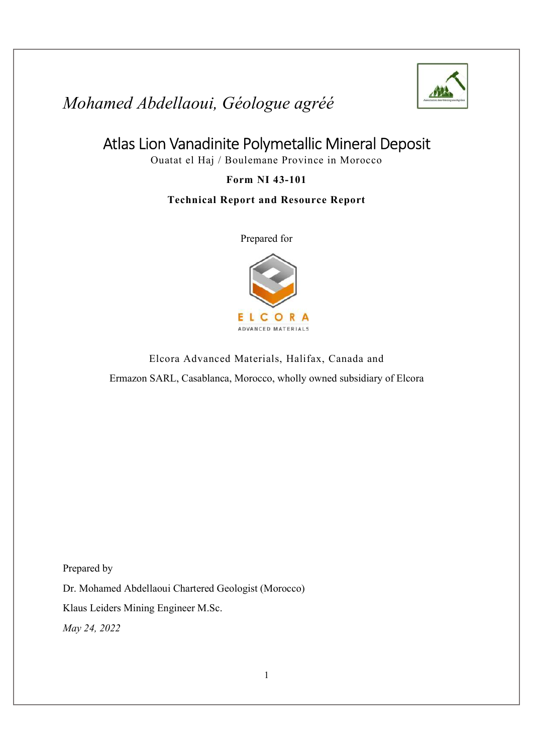

### Atlas Lion Vanadinite Polymetallic Mineral Deposit

Ouatat el Haj / Boulemane Province in Morocco

#### Form NI 43-101

#### Technical Report and Resource Report

Prepared for



Elcora Advanced Materials, Halifax, Canada and Ermazon SARL, Casablanca, Morocco, wholly owned subsidiary of Elcora

Prepared by

Dr. Mohamed Abdellaoui Chartered Geologist (Morocco)

Klaus Leiders Mining Engineer M.Sc.

May 24, 2022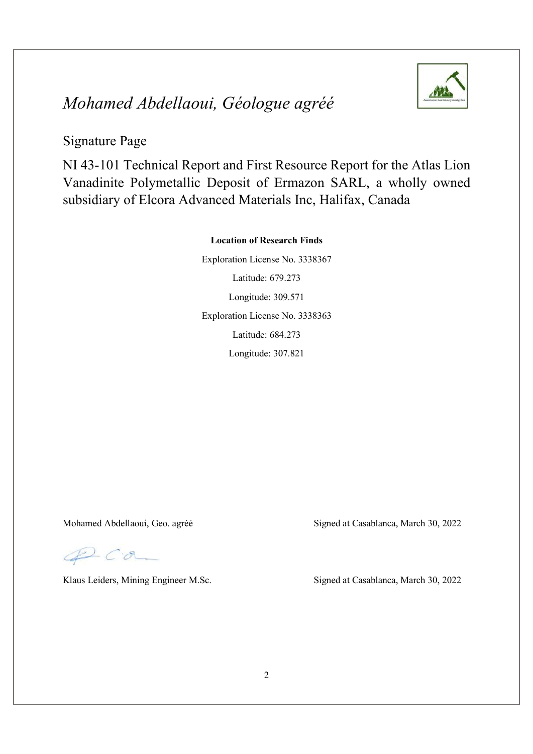

#### Signature Page

NI 43-101 Technical Report and First Resource Report for the Atlas Lion Vanadinite Polymetallic Deposit of Ermazon SARL, a wholly owned subsidiary of Elcora Advanced Materials Inc, Halifax, Canada

#### Location of Research Finds

Exploration License No. 3338367 Latitude: 679.273 Longitude: 309.571 Exploration License No. 3338363 Latitude: 684.273 Longitude: 307.821

QC.a

Mohamed Abdellaoui, Geo. agréé Signed at Casablanca, March 30, 2022

Klaus Leiders, Mining Engineer M.Sc. Signed at Casablanca, March 30, 2022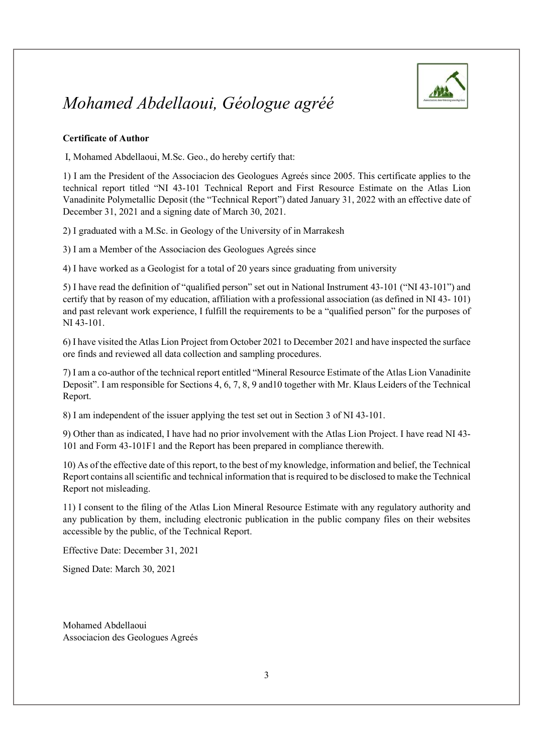

#### Certificate of Author

I, Mohamed Abdellaoui, M.Sc. Geo., do hereby certify that:

1) I am the President of the Associacion des Geologues Agreés since 2005. This certificate applies to the technical report titled "NI 43-101 Technical Report and First Resource Estimate on the Atlas Lion Vanadinite Polymetallic Deposit (the "Technical Report") dated January 31, 2022 with an effective date of December 31, 2021 and a signing date of March 30, 2021.

2) I graduated with a M.Sc. in Geology of the University of in Marrakesh

3) I am a Member of the Associacion des Geologues Agreés since

4) I have worked as a Geologist for a total of 20 years since graduating from university

5) I have read the definition of "qualified person" set out in National Instrument 43-101 ("NI 43-101") and certify that by reason of my education, affiliation with a professional association (as defined in NI 43- 101) and past relevant work experience, I fulfill the requirements to be a "qualified person" for the purposes of NI 43-101.

6) I have visited the Atlas Lion Project from October 2021 to December 2021 and have inspected the surface ore finds and reviewed all data collection and sampling procedures.

7) I am a co-author of the technical report entitled "Mineral Resource Estimate of the Atlas Lion Vanadinite Deposit". I am responsible for Sections 4, 6, 7, 8, 9 and10 together with Mr. Klaus Leiders of the Technical Report.

8) I am independent of the issuer applying the test set out in Section 3 of NI 43-101.

9) Other than as indicated, I have had no prior involvement with the Atlas Lion Project. I have read NI 43- 101 and Form 43-101F1 and the Report has been prepared in compliance therewith.

10) As of the effective date of this report, to the best of my knowledge, information and belief, the Technical Report contains all scientific and technical information that is required to be disclosed to make the Technical Report not misleading.

11) I consent to the filing of the Atlas Lion Mineral Resource Estimate with any regulatory authority and any publication by them, including electronic publication in the public company files on their websites accessible by the public, of the Technical Report.

Effective Date: December 31, 2021

Signed Date: March 30, 2021

Mohamed Abdellaoui Associacion des Geologues Agreés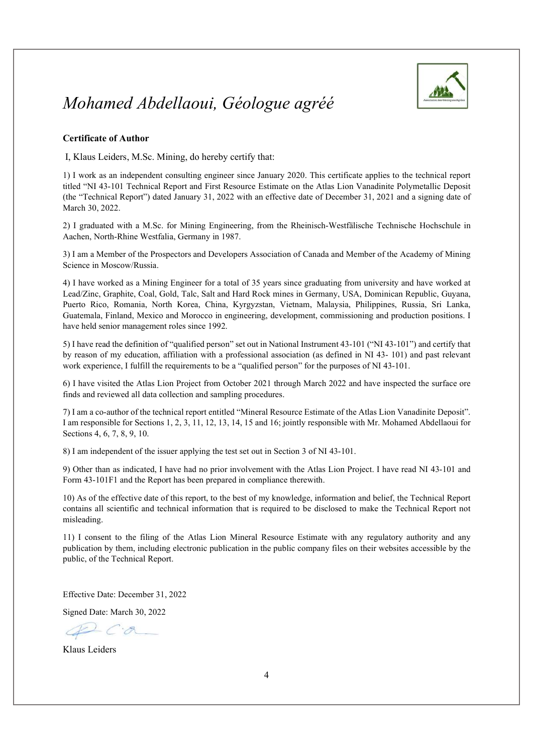

#### Certificate of Author

I, Klaus Leiders, M.Sc. Mining, do hereby certify that:

1) I work as an independent consulting engineer since January 2020. This certificate applies to the technical report titled "NI 43-101 Technical Report and First Resource Estimate on the Atlas Lion Vanadinite Polymetallic Deposit (the "Technical Report") dated January 31, 2022 with an effective date of December 31, 2021 and a signing date of March 30, 2022.

2) I graduated with a M.Sc. for Mining Engineering, from the Rheinisch-Westfälische Technische Hochschule in Aachen, North-Rhine Westfalia, Germany in 1987.

3) I am a Member of the Prospectors and Developers Association of Canada and Member of the Academy of Mining Science in Moscow/Russia.

4) I have worked as a Mining Engineer for a total of 35 years since graduating from university and have worked at Lead/Zinc, Graphite, Coal, Gold, Talc, Salt and Hard Rock mines in Germany, USA, Dominican Republic, Guyana, Puerto Rico, Romania, North Korea, China, Kyrgyzstan, Vietnam, Malaysia, Philippines, Russia, Sri Lanka, Guatemala, Finland, Mexico and Morocco in engineering, development, commissioning and production positions. I have held senior management roles since 1992.

5) I have read the definition of "qualified person" set out in National Instrument 43-101 ("NI 43-101") and certify that by reason of my education, affiliation with a professional association (as defined in NI 43- 101) and past relevant work experience, I fulfill the requirements to be a "qualified person" for the purposes of NI 43-101.

6) I have visited the Atlas Lion Project from October 2021 through March 2022 and have inspected the surface ore finds and reviewed all data collection and sampling procedures.

7) I am a co-author of the technical report entitled "Mineral Resource Estimate of the Atlas Lion Vanadinite Deposit". I am responsible for Sections 1, 2, 3, 11, 12, 13, 14, 15 and 16; jointly responsible with Mr. Mohamed Abdellaoui for Sections 4, 6, 7, 8, 9, 10.

8) I am independent of the issuer applying the test set out in Section 3 of NI 43-101.

9) Other than as indicated, I have had no prior involvement with the Atlas Lion Project. I have read NI 43-101 and Form 43-101F1 and the Report has been prepared in compliance therewith.

10) As of the effective date of this report, to the best of my knowledge, information and belief, the Technical Report contains all scientific and technical information that is required to be disclosed to make the Technical Report not misleading.

11) I consent to the filing of the Atlas Lion Mineral Resource Estimate with any regulatory authority and any publication by them, including electronic publication in the public company files on their websites accessible by the public, of the Technical Report.

Effective Date: December 31, 2022

Signed Date: March 30, 2022

Klaus Leiders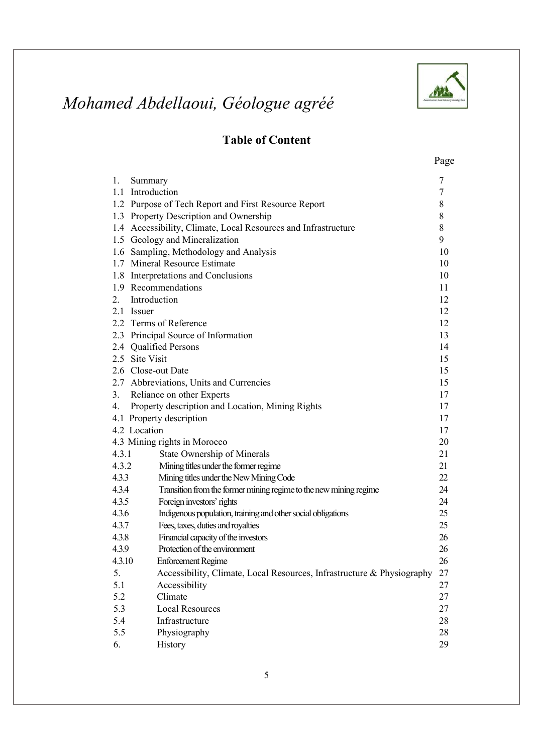

### Table of Content

| 1.<br>Summary      |                                                                        | 7              |
|--------------------|------------------------------------------------------------------------|----------------|
| 1.1 Introduction   |                                                                        | $\overline{7}$ |
|                    | 1.2 Purpose of Tech Report and First Resource Report                   | 8              |
|                    | 1.3 Property Description and Ownership                                 | 8              |
|                    | 1.4 Accessibility, Climate, Local Resources and Infrastructure         | 8              |
|                    | 1.5 Geology and Mineralization                                         | 9              |
|                    | 1.6 Sampling, Methodology and Analysis                                 | 10             |
|                    | 1.7 Mineral Resource Estimate                                          | 10             |
|                    | 1.8 Interpretations and Conclusions                                    | 10             |
|                    | 1.9 Recommendations                                                    | 11             |
| 2.                 | Introduction                                                           | 12             |
| 2.1 Issuer         |                                                                        | 12             |
|                    | 2.2 Terms of Reference                                                 | 12             |
|                    | 2.3 Principal Source of Information                                    | 13             |
|                    | 2.4 Qualified Persons                                                  | 14             |
| 2.5 Site Visit     |                                                                        | 15             |
| 2.6 Close-out Date |                                                                        | 15             |
|                    | 2.7 Abbreviations, Units and Currencies                                | 15             |
| 3.                 | Reliance on other Experts                                              | 17             |
| 4.                 | Property description and Location, Mining Rights                       | 17             |
|                    | 4.1 Property description                                               | 17             |
| 4.2 Location       |                                                                        | 17             |
|                    | 4.3 Mining rights in Morocco                                           | 20             |
| 4.3.1              | State Ownership of Minerals                                            | 21             |
| 4.3.2              | Mining titles under the former regime                                  | 21             |
| 4.3.3              | Mining titles under the New Mining Code                                | 22             |
| 4.3.4              | Transition from the former mining regime to the new mining regime      | 24             |
| 4.3.5              | Foreign investors' rights                                              | 24             |
| 4.3.6              | Indigenous population, training and other social obligations           | 25             |
| 4.3.7              | Fees, taxes, duties and royalties                                      | 25             |
| 4.3.8              | Financial capacity of the investors                                    | 26             |
| 4.3.9              | Protection of the environment                                          | 26             |
| 4.3.10             | <b>Enforcement Regime</b>                                              | 26             |
| 5.                 | Accessibility, Climate, Local Resources, Infrastructure & Physiography | 27             |
| 5.1                | Accessibility                                                          | 27             |
| 5.2                | Climate                                                                | 27             |
| 5.3                | <b>Local Resources</b>                                                 | 27             |
| 5.4                | Infrastructure                                                         | 28             |
| 5.5                | Physiography                                                           | $28\,$         |
| 6.                 | History                                                                | 29             |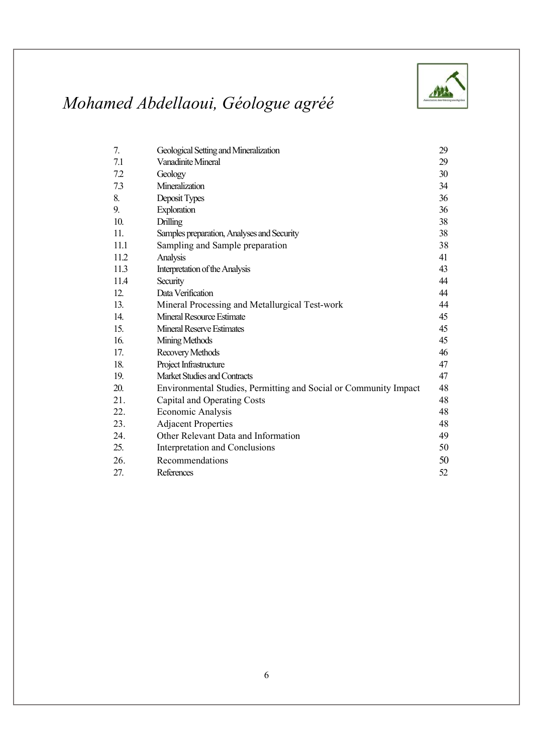

| 7.   | Geological Setting and Mineralization                            | 29 |
|------|------------------------------------------------------------------|----|
| 7.1  | Vanadinite Mineral                                               | 29 |
| 7.2  | Geology                                                          | 30 |
| 73   | Mineralization                                                   | 34 |
| 8.   | Deposit Types                                                    | 36 |
| 9.   | Exploration                                                      | 36 |
| 10.  | <b>Drilling</b>                                                  | 38 |
| 11.  | Samples preparation, Analyses and Security                       | 38 |
| 11.1 | Sampling and Sample preparation                                  | 38 |
| 11.2 | Analysis                                                         | 41 |
| 11.3 | Interpretation of the Analysis                                   | 43 |
| 11.4 | Security                                                         | 44 |
| 12.  | Data Verification                                                | 44 |
| 13.  | Mineral Processing and Metallurgical Test-work                   | 44 |
| 14.  | Mineral Resource Estimate                                        | 45 |
| 15.  | <b>Mineral Reserve Estimates</b>                                 | 45 |
| 16.  | Mining Methods                                                   | 45 |
| 17.  | Recovery Methods                                                 | 46 |
| 18.  | Project Infrastructure                                           | 47 |
| 19.  | Market Studies and Contracts                                     | 47 |
| 20.  | Environmental Studies, Permitting and Social or Community Impact | 48 |
| 21.  | Capital and Operating Costs                                      | 48 |
| 22.  | Economic Analysis                                                | 48 |
| 23.  | <b>Adjacent Properties</b>                                       | 48 |
| 24.  | Other Relevant Data and Information                              | 49 |
| 25.  | Interpretation and Conclusions                                   | 50 |
| 26.  | Recommendations                                                  | 50 |
| 27.  | References                                                       | 52 |
|      |                                                                  |    |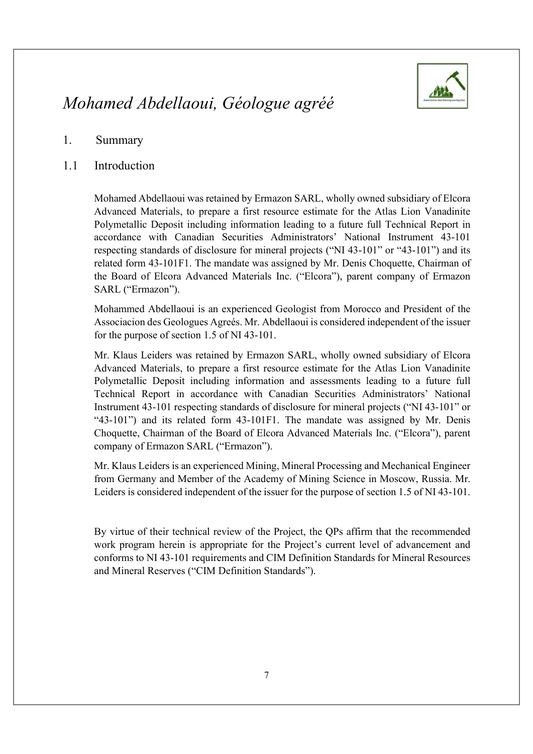

#### 1. Summary

#### 1.1 Introduction

Mohamed Abdellaoui was retained by Ermazon SARL, wholly owned subsidiary of Elcora Advanced Materials, to prepare a first resource estimate for the Atlas Lion Vanadinite Polymetallic Deposit including information leading to a future full Technical Report in accordance with Canadian Securities Administrators' National Instrument 43-101 respecting standards of disclosure for mineral projects ("NI 43-101" or "43-101") and its related form 43-101F1. The mandate was assigned by Mr. Denis Choquette, Chairman of the Board of Elcora Advanced Materials Inc. ("Elcora"), parent company of Ermazon SARL ("Ermazon").

Mohammed Abdellaoui is an experienced Geologist from Morocco and President of the Associacion des Geologues Agreés. Mr. Abdellaoui is considered independent of the issuer for the purpose of section 1.5 of NI 43-101.

Mr. Klaus Leiders was retained by Ermazon SARL, wholly owned subsidiary of Elcora Advanced Materials, to prepare a first resource estimate for the Atlas Lion Vanadinite Polymetallic Deposit including information and assessments leading to a future full Technical Report in accordance with Canadian Securities Administrators' National Instrument 43-101 respecting standards of disclosure for mineral projects ("NI 43-101" or "43-101") and its related form 43-101F1. The mandate was assigned by Mr. Denis Choquette, Chairman of the Board of Elcora Advanced Materials Inc. ("Elcora"), parent company of Ermazon SARL ("Ermazon").

Mr. Klaus Leiders is an experienced Mining, Mineral Processing and Mechanical Engineer from Germany and Member of the Academy of Mining Science in Moscow, Russia. Mr. Leiders is considered independent of the issuer for the purpose of section 1.5 of NI 43-101.

By virtue of their technical review of the Project, the QPs affirm that the recommended work program herein is appropriate for the Project's current level of advancement and conforms to NI 43-101 requirements and CIM Definition Standards for Mineral Resources and Mineral Reserves ("CIM Definition Standards").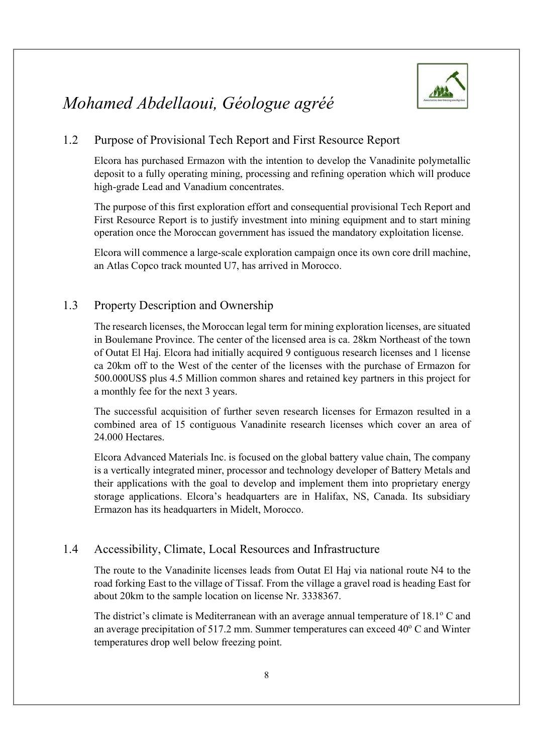

#### 1.2 Purpose of Provisional Tech Report and First Resource Report

Elcora has purchased Ermazon with the intention to develop the Vanadinite polymetallic deposit to a fully operating mining, processing and refining operation which will produce high-grade Lead and Vanadium concentrates.

The purpose of this first exploration effort and consequential provisional Tech Report and First Resource Report is to justify investment into mining equipment and to start mining operation once the Moroccan government has issued the mandatory exploitation license.

Elcora will commence a large-scale exploration campaign once its own core drill machine, an Atlas Copco track mounted U7, has arrived in Morocco.

#### 1.3 Property Description and Ownership

The research licenses, the Moroccan legal term for mining exploration licenses, are situated in Boulemane Province. The center of the licensed area is ca. 28km Northeast of the town of Outat El Haj. Elcora had initially acquired 9 contiguous research licenses and 1 license ca 20km off to the West of the center of the licenses with the purchase of Ermazon for 500.000US\$ plus 4.5 Million common shares and retained key partners in this project for a monthly fee for the next 3 years.

The successful acquisition of further seven research licenses for Ermazon resulted in a combined area of 15 contiguous Vanadinite research licenses which cover an area of 24.000 Hectares.

Elcora Advanced Materials Inc. is focused on the global battery value chain, The company is a vertically integrated miner, processor and technology developer of Battery Metals and their applications with the goal to develop and implement them into proprietary energy storage applications. Elcora's headquarters are in Halifax, NS, Canada. Its subsidiary Ermazon has its headquarters in Midelt, Morocco.

#### 1.4 Accessibility, Climate, Local Resources and Infrastructure

The route to the Vanadinite licenses leads from Outat El Haj via national route N4 to the road forking East to the village of Tissaf. From the village a gravel road is heading East for about 20km to the sample location on license Nr. 3338367.

The district's climate is Mediterranean with an average annual temperature of 18.1° C and an average precipitation of 517.2 mm. Summer temperatures can exceed  $40^{\circ}$  C and Winter temperatures drop well below freezing point.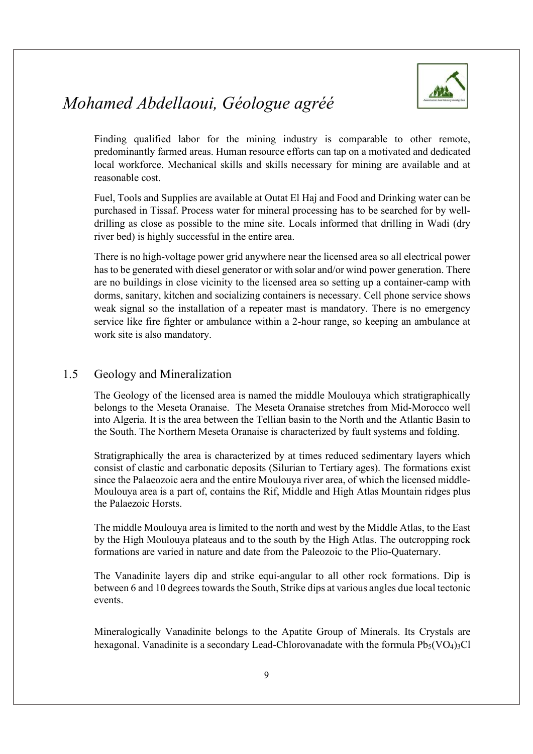

Finding qualified labor for the mining industry is comparable to other remote, predominantly farmed areas. Human resource efforts can tap on a motivated and dedicated local workforce. Mechanical skills and skills necessary for mining are available and at reasonable cost.

Fuel, Tools and Supplies are available at Outat El Haj and Food and Drinking water can be purchased in Tissaf. Process water for mineral processing has to be searched for by welldrilling as close as possible to the mine site. Locals informed that drilling in Wadi (dry river bed) is highly successful in the entire area.

There is no high-voltage power grid anywhere near the licensed area so all electrical power has to be generated with diesel generator or with solar and/or wind power generation. There are no buildings in close vicinity to the licensed area so setting up a container-camp with dorms, sanitary, kitchen and socializing containers is necessary. Cell phone service shows weak signal so the installation of a repeater mast is mandatory. There is no emergency service like fire fighter or ambulance within a 2-hour range, so keeping an ambulance at work site is also mandatory.

#### 1.5 Geology and Mineralization

The Geology of the licensed area is named the middle Moulouya which stratigraphically belongs to the Meseta Oranaise. The Meseta Oranaise stretches from Mid-Morocco well into Algeria. It is the area between the Tellian basin to the North and the Atlantic Basin to the South. The Northern Meseta Oranaise is characterized by fault systems and folding.

Stratigraphically the area is characterized by at times reduced sedimentary layers which consist of clastic and carbonatic deposits (Silurian to Tertiary ages). The formations exist since the Palaeozoic aera and the entire Moulouya river area, of which the licensed middle-Moulouya area is a part of, contains the Rif, Middle and High Atlas Mountain ridges plus the Palaezoic Horsts.

The middle Moulouya area is limited to the north and west by the Middle Atlas, to the East by the High Moulouya plateaus and to the south by the High Atlas. The outcropping rock formations are varied in nature and date from the Paleozoic to the Plio-Quaternary.

The Vanadinite layers dip and strike equi-angular to all other rock formations. Dip is between 6 and 10 degrees towards the South, Strike dips at various angles due local tectonic events.

Mineralogically Vanadinite belongs to the Apatite Group of Minerals. Its Crystals are hexagonal. Vanadinite is a secondary Lead-Chlorovanadate with the formula  $Pb<sub>5</sub>(VO<sub>4</sub>)<sub>3</sub>Cl$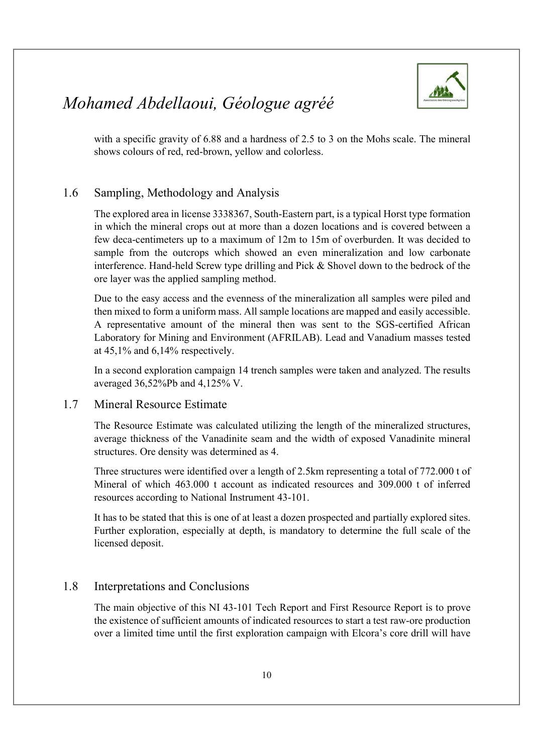



with a specific gravity of 6.88 and a hardness of 2.5 to 3 on the Mohs scale. The mineral shows colours of red, red-brown, yellow and colorless.

#### 1.6 Sampling, Methodology and Analysis

The explored area in license 3338367, South-Eastern part, is a typical Horst type formation in which the mineral crops out at more than a dozen locations and is covered between a few deca-centimeters up to a maximum of 12m to 15m of overburden. It was decided to sample from the outcrops which showed an even mineralization and low carbonate interference. Hand-held Screw type drilling and Pick & Shovel down to the bedrock of the ore layer was the applied sampling method.

Due to the easy access and the evenness of the mineralization all samples were piled and then mixed to form a uniform mass. All sample locations are mapped and easily accessible. A representative amount of the mineral then was sent to the SGS-certified African Laboratory for Mining and Environment (AFRILAB). Lead and Vanadium masses tested at 45,1% and 6,14% respectively.

In a second exploration campaign 14 trench samples were taken and analyzed. The results averaged 36,52%Pb and 4,125% V.

#### 1.7 Mineral Resource Estimate

The Resource Estimate was calculated utilizing the length of the mineralized structures, average thickness of the Vanadinite seam and the width of exposed Vanadinite mineral structures. Ore density was determined as 4.

Three structures were identified over a length of 2.5km representing a total of 772.000 t of Mineral of which 463.000 t account as indicated resources and 309.000 t of inferred resources according to National Instrument 43-101.

It has to be stated that this is one of at least a dozen prospected and partially explored sites. Further exploration, especially at depth, is mandatory to determine the full scale of the licensed deposit.

#### 1.8 Interpretations and Conclusions

The main objective of this NI 43-101 Tech Report and First Resource Report is to prove the existence of sufficient amounts of indicated resources to start a test raw-ore production over a limited time until the first exploration campaign with Elcora's core drill will have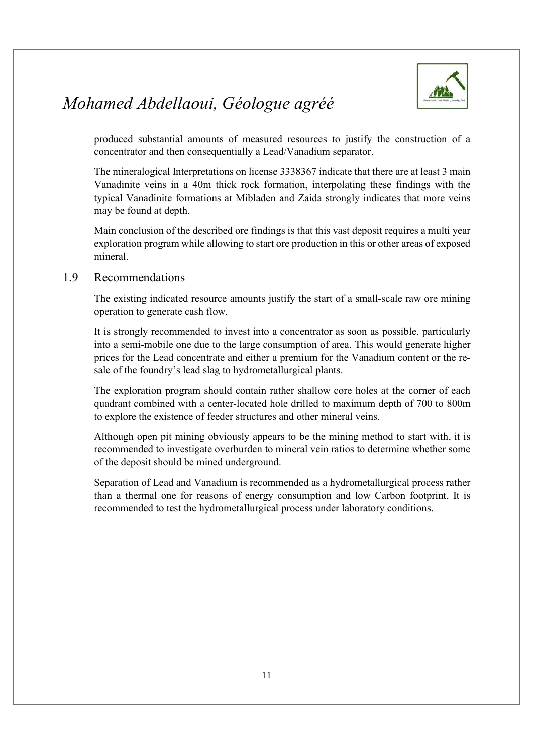

produced substantial amounts of measured resources to justify the construction of a concentrator and then consequentially a Lead/Vanadium separator.

The mineralogical Interpretations on license 3338367 indicate that there are at least 3 main Vanadinite veins in a 40m thick rock formation, interpolating these findings with the typical Vanadinite formations at Mibladen and Zaida strongly indicates that more veins may be found at depth.

Main conclusion of the described ore findings is that this vast deposit requires a multi year exploration program while allowing to start ore production in this or other areas of exposed mineral.

#### 1.9 Recommendations

The existing indicated resource amounts justify the start of a small-scale raw ore mining operation to generate cash flow.

It is strongly recommended to invest into a concentrator as soon as possible, particularly into a semi-mobile one due to the large consumption of area. This would generate higher prices for the Lead concentrate and either a premium for the Vanadium content or the resale of the foundry's lead slag to hydrometallurgical plants.

The exploration program should contain rather shallow core holes at the corner of each quadrant combined with a center-located hole drilled to maximum depth of 700 to 800m to explore the existence of feeder structures and other mineral veins.

Although open pit mining obviously appears to be the mining method to start with, it is recommended to investigate overburden to mineral vein ratios to determine whether some of the deposit should be mined underground.

Separation of Lead and Vanadium is recommended as a hydrometallurgical process rather than a thermal one for reasons of energy consumption and low Carbon footprint. It is recommended to test the hydrometallurgical process under laboratory conditions.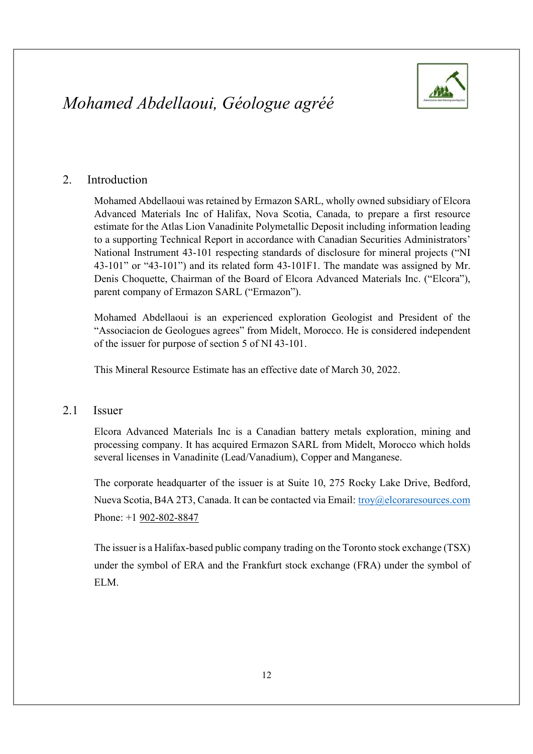

#### 2. Introduction

Mohamed Abdellaoui was retained by Ermazon SARL, wholly owned subsidiary of Elcora Advanced Materials Inc of Halifax, Nova Scotia, Canada, to prepare a first resource estimate for the Atlas Lion Vanadinite Polymetallic Deposit including information leading to a supporting Technical Report in accordance with Canadian Securities Administrators' National Instrument 43-101 respecting standards of disclosure for mineral projects ("NI 43-101" or "43-101") and its related form 43-101F1. The mandate was assigned by Mr. Denis Choquette, Chairman of the Board of Elcora Advanced Materials Inc. ("Elcora"), parent company of Ermazon SARL ("Ermazon").

Mohamed Abdellaoui is an experienced exploration Geologist and President of the "Associacion de Geologues agrees" from Midelt, Morocco. He is considered independent of the issuer for purpose of section 5 of NI 43-101.

This Mineral Resource Estimate has an effective date of March 30, 2022.

#### 2.1 Issuer

Elcora Advanced Materials Inc is a Canadian battery metals exploration, mining and processing company. It has acquired Ermazon SARL from Midelt, Morocco which holds several licenses in Vanadinite (Lead/Vanadium), Copper and Manganese.

The corporate headquarter of the issuer is at Suite 10, 275 Rocky Lake Drive, Bedford, Nueva Scotia, B4A 2T3, Canada. It can be contacted via Email: troy@elcoraresources.com Phone: +1 902-802-8847

The issuer is a Halifax-based public company trading on the Toronto stock exchange (TSX) under the symbol of ERA and the Frankfurt stock exchange (FRA) under the symbol of ELM.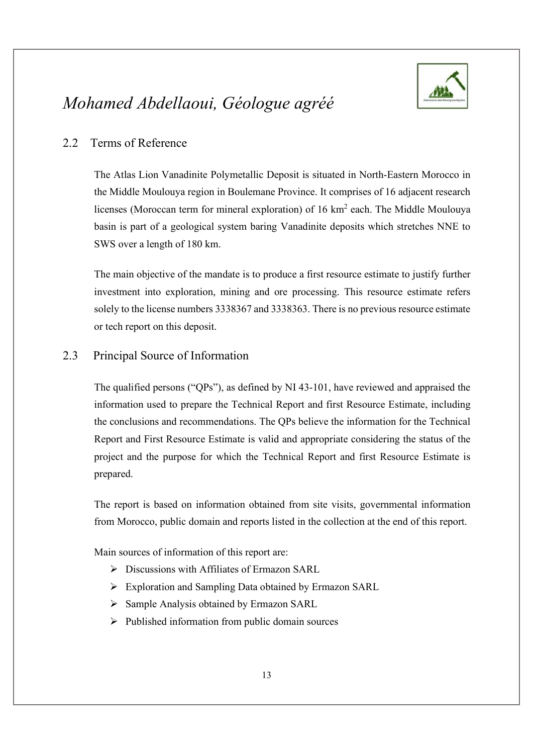

#### 2.2 Terms of Reference

The Atlas Lion Vanadinite Polymetallic Deposit is situated in North-Eastern Morocco in the Middle Moulouya region in Boulemane Province. It comprises of 16 adjacent research licenses (Moroccan term for mineral exploration) of 16 km<sup>2</sup> each. The Middle Moulouya basin is part of a geological system baring Vanadinite deposits which stretches NNE to SWS over a length of 180 km.

The main objective of the mandate is to produce a first resource estimate to justify further investment into exploration, mining and ore processing. This resource estimate refers solely to the license numbers 3338367 and 3338363. There is no previous resource estimate or tech report on this deposit.

#### 2.3 Principal Source of Information

The qualified persons ("QPs"), as defined by NI 43-101, have reviewed and appraised the information used to prepare the Technical Report and first Resource Estimate, including the conclusions and recommendations. The QPs believe the information for the Technical Report and First Resource Estimate is valid and appropriate considering the status of the project and the purpose for which the Technical Report and first Resource Estimate is

prepared.<br>The report is based on information obtained from site visits, governmental information from Morocco, public domain and reports listed in the collection at the end of this report.

Main sources of information of this report are:

- $\triangleright$  Discussions with Affiliates of Ermazon SARL
- Exploration and Sampling Data obtained by Ermazon SARL
- $\triangleright$  Sample Analysis obtained by Ermazon SARL
- $\triangleright$  Published information from public domain sources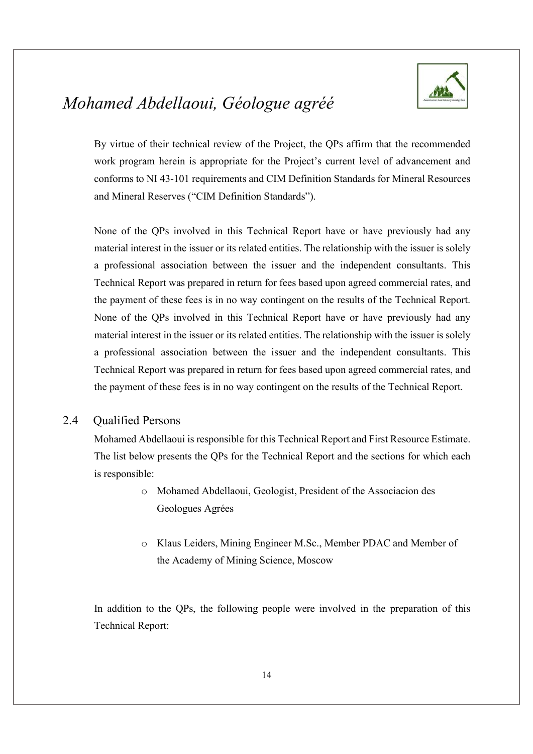

By virtue of their technical review of the Project, the QPs affirm that the recommended work program herein is appropriate for the Project's current level of advancement and conforms to NI 43-101 requirements and CIM Definition Standards for Mineral Resources and Mineral Reserves ("CIM Definition Standards").

None of the QPs involved in this Technical Report have or have previously had any material interest in the issuer or its related entities. The relationship with the issuer is solely a professional association between the issuer and the independent consultants. This Technical Report was prepared in return for fees based upon agreed commercial rates, and the payment of these fees is in no way contingent on the results of the Technical Report. None of the QPs involved in this Technical Report have or have previously had any material interest in the issuer or its related entities. The relationship with the issuer is solely a professional association between the issuer and the independent consultants. This Technical Report was prepared in return for fees based upon agreed commercial rates, and the payment of these fees is in no way contingent on the results of the Technical Report.

#### 2.4 Qualified Persons

Mohamed Abdellaoui is responsible for this Technical Report and First Resource Estimate. The list below presents the QPs for the Technical Report and the sections for which each is responsible:

- o Mohamed Abdellaoui, Geologist, President of the Associacion des Geologues Agrées
- o Klaus Leiders, Mining Engineer M.Sc., Member PDAC and Member of the Academy of Mining Science, Moscow

In addition to the QPs, the following people were involved in the preparation of this Technical Report: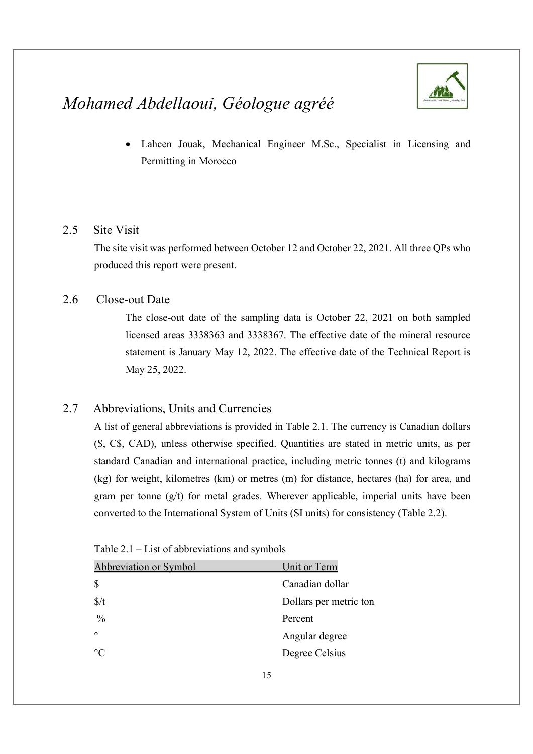

 Lahcen Jouak, Mechanical Engineer M.Sc., Specialist in Licensing and Permitting in Morocco

#### 2.5 Site Visit

The site visit was performed between October 12 and October 22, 2021. All three QPs who produced this report were present.

#### 2.6 Close-out Date

The close-out date of the sampling data is October 22, 2021 on both sampled licensed areas 3338363 and 3338367. The effective date of the mineral resource statement is January May 12, 2022. The effective date of the Technical Report is May 25, 2022.

#### 2.7 Abbreviations, Units and Currencies

A list of general abbreviations is provided in Table 2.1. The currency is Canadian dollars (\$, C\$, CAD), unless otherwise specified. Quantities are stated in metric units, as per standard Canadian and international practice, including metric tonnes (t) and kilograms (kg) for weight, kilometres (km) or metres (m) for distance, hectares (ha) for area, and gram per tonne (g/t) for metal grades. Wherever applicable, imperial units have been converted to the International System of Units (SI units) for consistency (Table 2.2).

| <b>Abbreviation or Symbol</b> | Unit or Term           |
|-------------------------------|------------------------|
| $\mathcal{S}$                 | Canadian dollar        |
| $\frac{s}{t}$                 | Dollars per metric ton |
| $\frac{0}{0}$                 | Percent                |
| $\circ$                       | Angular degree         |
| $\rm ^{\circ}C$               | Degree Celsius         |
|                               |                        |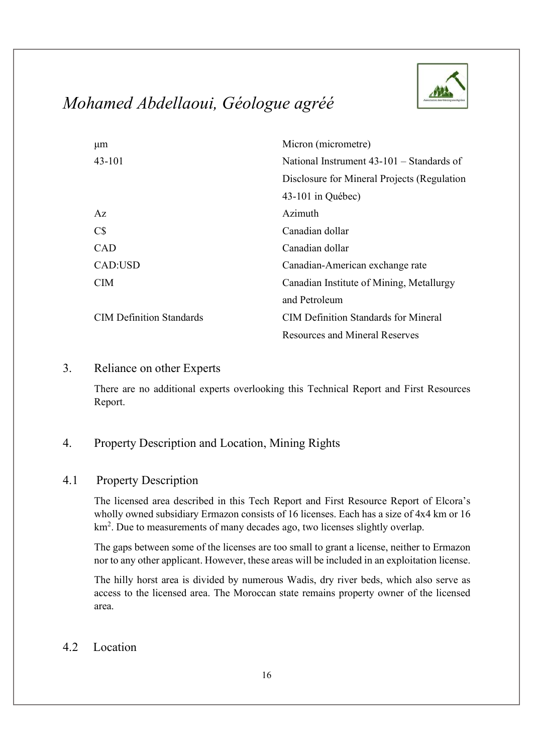

| μm                              | Micron (micrometre)                         |
|---------------------------------|---------------------------------------------|
| $43 - 101$                      | National Instrument $43-101$ – Standards of |
|                                 | Disclosure for Mineral Projects (Regulation |
|                                 | 43-101 in Québec)                           |
| Az                              | Azimuth                                     |
| $C\$                            | Canadian dollar                             |
| CAD                             | Canadian dollar                             |
| CAD:USD                         | Canadian-American exchange rate             |
| <b>CIM</b>                      | Canadian Institute of Mining, Metallurgy    |
|                                 | and Petroleum                               |
| <b>CIM Definition Standards</b> | <b>CIM Definition Standards for Mineral</b> |
|                                 | <b>Resources and Mineral Reserves</b>       |

#### 3. Reliance on other Experts

There are no additional experts overlooking this Technical Report and First Resources Report.

#### 4. Property Description and Location, Mining Rights

#### 4.1 Property Description

The licensed area described in this Tech Report and First Resource Report of Elcora's wholly owned subsidiary Ermazon consists of 16 licenses. Each has a size of 4x4 km or 16 km2 . Due to measurements of many decades ago, two licenses slightly overlap.

The gaps between some of the licenses are too small to grant a license, neither to Ermazon nor to any other applicant. However, these areas will be included in an exploitation license.

The hilly horst area is divided by numerous Wadis, dry river beds, which also serve as access to the licensed area. The Moroccan state remains property owner of the licensed area.

#### 4.2 Location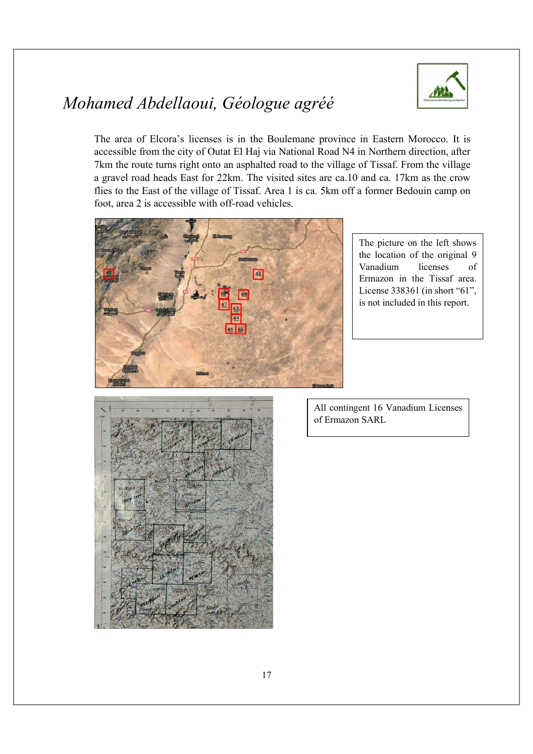

The area of Elcora's licenses is in the Boulemane province in Eastern Morocco. It is accessible from the city of Outat El Haj via National Road N4 in Northern direction, after 7km the route turns right onto an asphalted road to the village of Tissaf. From the village a gravel road heads East for 22km. The visited sites are ca.10 and ca. 17km as the crow flies to the East of the village of Tissaf. Area 1 is ca. 5km off a former Bedouin camp on foot, area 2 is accessible with off-road vehicles.



The picture on the left shows the location of the original 9 Vanadium licenses of Ermazon in the Tissaf area. License 338361 (in short "61", is not included in this report.

The picture below shows the picture below shows the picture below shows the picture of  $\mathcal{L}_\text{max}$ 



All contingent 16 Vanadium Licenses of Ermazon SARL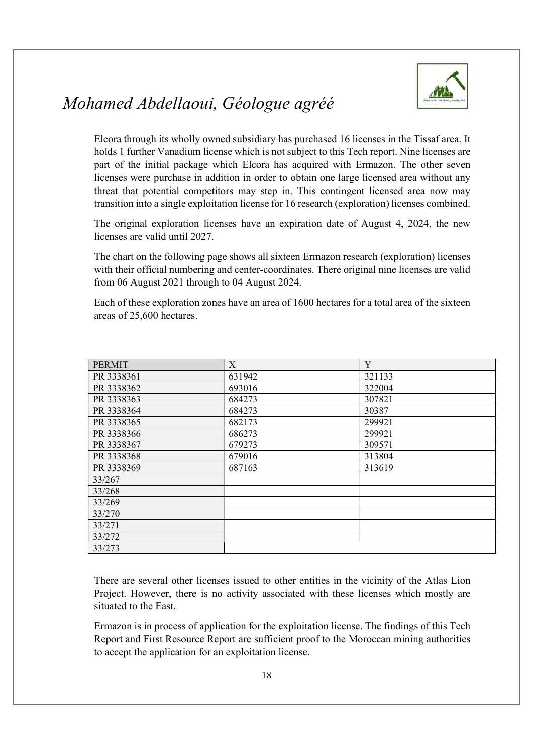

Elcora through its wholly owned subsidiary has purchased 16 licenses in the Tissaf area. It holds 1 further Vanadium license which is not subject to this Tech report. Nine licenses are part of the initial package which Elcora has acquired with Ermazon. The other seven licenses were purchase in addition in order to obtain one large licensed area without any threat that potential competitors may step in. This contingent licensed area now may transition into a single exploitation license for 16 research (exploration) licenses combined.

The original exploration licenses have an expiration date of August 4, 2024, the new licenses are valid until 2027.

The chart on the following page shows all sixteen Ermazon research (exploration) licenses with their official numbering and center-coordinates. There original nine licenses are valid from 06 August 2021 through to 04 August 2024.

Each of these exploration zones have an area of 1600 hectares for a total area of the sixteen areas of 25,600 hectares.

| <b>PERMIT</b> | X      | Y      |  |
|---------------|--------|--------|--|
|               |        |        |  |
| PR 3338361    | 631942 | 321133 |  |
| PR 3338362    | 693016 | 322004 |  |
| PR 3338363    | 684273 | 307821 |  |
| PR 3338364    | 684273 | 30387  |  |
| PR 3338365    | 682173 | 299921 |  |
| PR 3338366    | 686273 | 299921 |  |
| PR 3338367    | 679273 | 309571 |  |
| PR 3338368    | 679016 | 313804 |  |
| PR 3338369    | 687163 | 313619 |  |
| 33/267        |        |        |  |
| 33/268        |        |        |  |
| 33/269        |        |        |  |
| 33/270        |        |        |  |
| 33/271        |        |        |  |
| 33/272        |        |        |  |
| 33/273        |        |        |  |

There are several other licenses issued to other entities in the vicinity of the Atlas Lion Project. However, there is no activity associated with these licenses which mostly are situated to the East.

Ermazon is in process of application for the exploitation license. The findings of this Tech Report and First Resource Report are sufficient proof to the Moroccan mining authorities to accept the application for an exploitation license.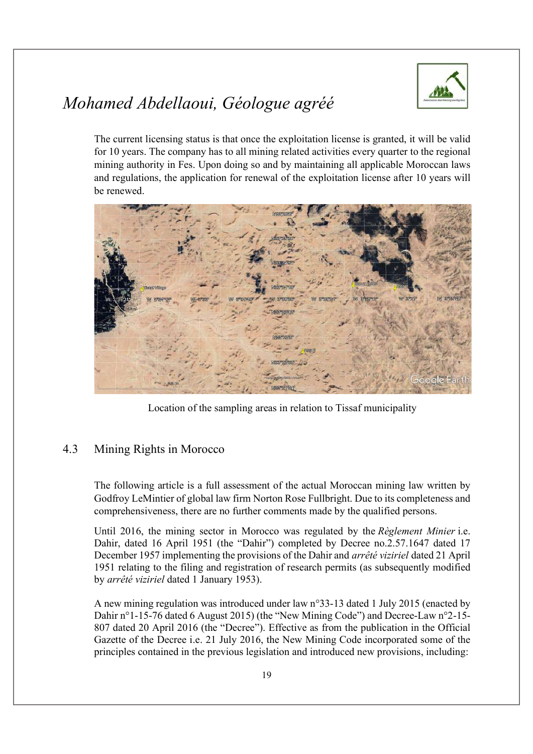

The current licensing status is that once the exploitation license is granted, it will be valid for 10 years. The company has to all mining related activities every quarter to the regional mining authority in Fes. Upon doing so and by maintaining all applicable Moroccan laws and regulations, the application for renewal of the exploitation license after 10 years will be renewed.



Location of the sampling areas in relation to Tissaf municipality

#### 4.3 Mining Rights in Morocco

The following article is a full assessment of the actual Moroccan mining law written by Godfroy LeMintier of global law firm Norton Rose Fullbright. Due to its completeness and comprehensiveness, there are no further comments made by the qualified persons.

Until 2016, the mining sector in Morocco was regulated by the Règlement Minier i.e. Dahir, dated 16 April 1951 (the "Dahir") completed by Decree no.2.57.1647 dated 17 December 1957 implementing the provisions of the Dahir and arrêté viziriel dated 21 April 1951 relating to the filing and registration of research permits (as subsequently modified by arrêté viziriel dated 1 January 1953).

A new mining regulation was introduced under law n°33-13 dated 1 July 2015 (enacted by Dahir n°1-15-76 dated 6 August 2015) (the "New Mining Code") and Decree-Law n°2-15- 807 dated 20 April 2016 (the "Decree"). Effective as from the publication in the Official Gazette of the Decree i.e. 21 July 2016, the New Mining Code incorporated some of the principles contained in the previous legislation and introduced new provisions, including: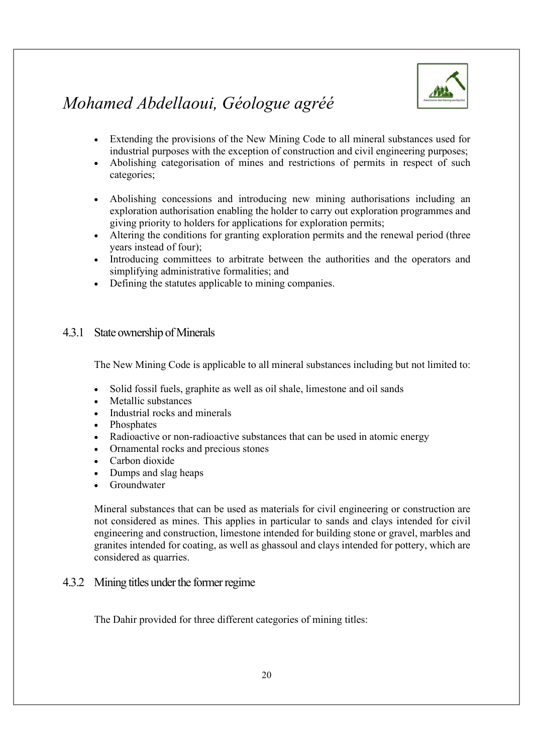

- Extending the provisions of the New Mining Code to all mineral substances used for industrial purposes with the exception of construction and civil engineering purposes;
- Abolishing categorisation of mines and restrictions of permits in respect of such categories;
- Abolishing concessions and introducing new mining authorisations including an exploration authorisation enabling the holder to carry out exploration programmes and giving priority to holders for applications for exploration permits;
- Altering the conditions for granting exploration permits and the renewal period (three years instead of four);
- Introducing committees to arbitrate between the authorities and the operators and simplifying administrative formalities; and
- Defining the statutes applicable to mining companies.

#### 4.3.1 State ownership of Minerals

The New Mining Code is applicable to all mineral substances including but not limited to:

- Solid fossil fuels, graphite as well as oil shale, limestone and oil sands
- Metallic substances
- Industrial rocks and minerals
- Phosphates
- Radioactive or non-radioactive substances that can be used in atomic energy
- Ornamental rocks and precious stones
- Carbon dioxide
- Dumps and slag heaps
- Groundwater

Mineral substances that can be used as materials for civil engineering or construction are not considered as mines. This applies in particular to sands and clays intended for civil engineering and construction, limestone intended for building stone or gravel, marbles and granites intended for coating, as well as ghassoul and clays intended for pottery, which are considered as quarries.

#### 4.3.2 Mining titles under the former regime

The Dahir provided for three different categories of mining titles: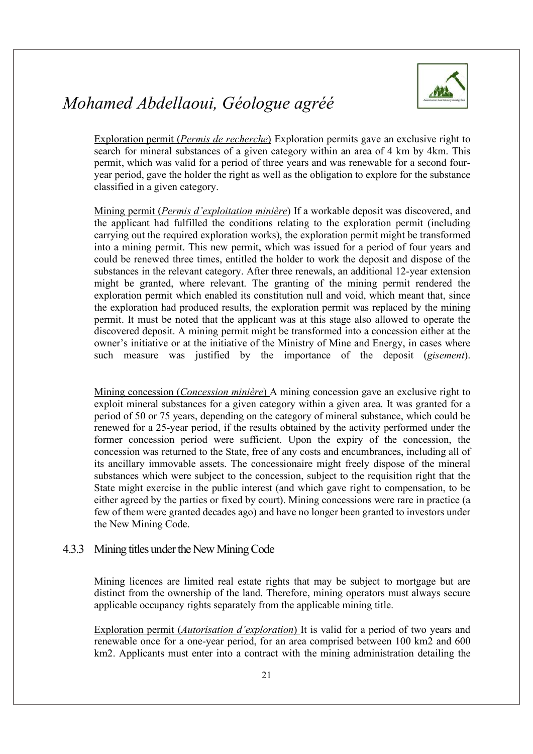

Exploration permit (Permis de recherche) Exploration permits gave an exclusive right to search for mineral substances of a given category within an area of 4 km by 4km. This permit, which was valid for a period of three years and was renewable for a second fouryear period, gave the holder the right as well as the obligation to explore for the substance classified in a given category.

Mining permit (Permis d'exploitation minière) If a workable deposit was discovered, and the applicant had fulfilled the conditions relating to the exploration permit (including carrying out the required exploration works), the exploration permit might be transformed into a mining permit. This new permit, which was issued for a period of four years and could be renewed three times, entitled the holder to work the deposit and dispose of the substances in the relevant category. After three renewals, an additional 12-year extension might be granted, where relevant. The granting of the mining permit rendered the exploration permit which enabled its constitution null and void, which meant that, since the exploration had produced results, the exploration permit was replaced by the mining permit. It must be noted that the applicant was at this stage also allowed to operate the discovered deposit. A mining permit might be transformed into a concession either at the owner's initiative or at the initiative of the Ministry of Mine and Energy, in cases where such measure was justified by the importance of the deposit (gisement).

Mining concession (Concession minière) A mining concession gave an exclusive right to exploit mineral substances for a given category within a given area. It was granted for a period of 50 or 75 years, depending on the category of mineral substance, which could be renewed for a 25-year period, if the results obtained by the activity performed under the former concession period were sufficient. Upon the expiry of the concession, the concession was returned to the State, free of any costs and encumbrances, including all of its ancillary immovable assets. The concessionaire might freely dispose of the mineral substances which were subject to the concession, subject to the requisition right that the State might exercise in the public interest (and which gave right to compensation, to be either agreed by the parties or fixed by court). Mining concessions were rare in practice (a few of them were granted decades ago) and have no longer been granted to investors under the New Mining Code.

#### 4.3.3 Mining titles under the New Mining Code

Mining licences are limited real estate rights that may be subject to mortgage but are distinct from the ownership of the land. Therefore, mining operators must always secure applicable occupancy rights separately from the applicable mining title.

Exploration permit (Autorisation d'exploration) It is valid for a period of two years and renewable once for a one-year period, for an area comprised between 100 km2 and 600 km2. Applicants must enter into a contract with the mining administration detailing the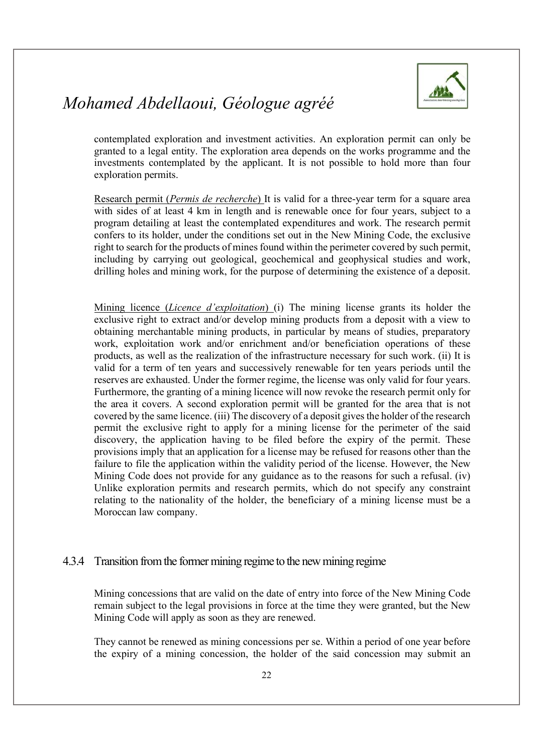

contemplated exploration and investment activities. An exploration permit can only be granted to a legal entity. The exploration area depends on the works programme and the investments contemplated by the applicant. It is not possible to hold more than four exploration permits.

Research permit (Permis de recherche) It is valid for a three-year term for a square area with sides of at least 4 km in length and is renewable once for four years, subject to a program detailing at least the contemplated expenditures and work. The research permit confers to its holder, under the conditions set out in the New Mining Code, the exclusive right to search for the products of mines found within the perimeter covered by such permit, including by carrying out geological, geochemical and geophysical studies and work, drilling holes and mining work, for the purpose of determining the existence of a deposit.

Mining licence *(Licence d'exploitation)* (i) The mining license grants its holder the exclusive right to extract and/or develop mining products from a deposit with a view to obtaining merchantable mining products, in particular by means of studies, preparatory work, exploitation work and/or enrichment and/or beneficiation operations of these products, as well as the realization of the infrastructure necessary for such work. (ii) It is valid for a term of ten years and successively renewable for ten years periods until the reserves are exhausted. Under the former regime, the license was only valid for four years. Furthermore, the granting of a mining licence will now revoke the research permit only for the area it covers. A second exploration permit will be granted for the area that is not covered by the same licence. (iii) The discovery of a deposit gives the holder of the research permit the exclusive right to apply for a mining license for the perimeter of the said discovery, the application having to be filed before the expiry of the permit. These provisions imply that an application for a license may be refused for reasons other than the failure to file the application within the validity period of the license. However, the New Mining Code does not provide for any guidance as to the reasons for such a refusal. (iv) Unlike exploration permits and research permits, which do not specify any constraint relating to the nationality of the holder, the beneficiary of a mining license must be a Moroccan law company.

#### 4.3.4 Transition from the former mining regime to the new mining regime

Mining concessions that are valid on the date of entry into force of the New Mining Code remain subject to the legal provisions in force at the time they were granted, but the New Mining Code will apply as soon as they are renewed.

They cannot be renewed as mining concessions per se. Within a period of one year before the expiry of a mining concession, the holder of the said concession may submit an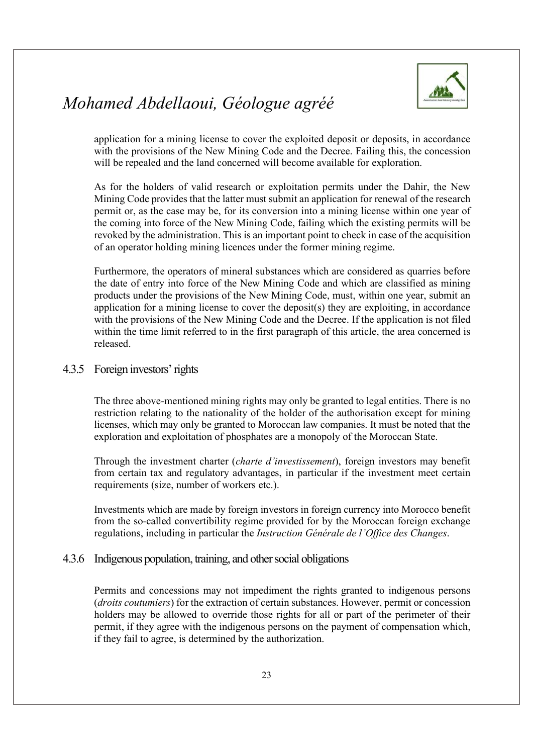

application for a mining license to cover the exploited deposit or deposits, in accordance with the provisions of the New Mining Code and the Decree. Failing this, the concession will be repealed and the land concerned will become available for exploration.

As for the holders of valid research or exploitation permits under the Dahir, the New Mining Code provides that the latter must submit an application for renewal of the research permit or, as the case may be, for its conversion into a mining license within one year of the coming into force of the New Mining Code, failing which the existing permits will be revoked by the administration. This is an important point to check in case of the acquisition of an operator holding mining licences under the former mining regime.

Furthermore, the operators of mineral substances which are considered as quarries before the date of entry into force of the New Mining Code and which are classified as mining products under the provisions of the New Mining Code, must, within one year, submit an application for a mining license to cover the deposit(s) they are exploiting, in accordance with the provisions of the New Mining Code and the Decree. If the application is not filed within the time limit referred to in the first paragraph of this article, the area concerned is released.

#### 4.3.5 Foreign investors' rights

The three above-mentioned mining rights may only be granted to legal entities. There is no restriction relating to the nationality of the holder of the authorisation except for mining licenses, which may only be granted to Moroccan law companies. It must be noted that the exploration and exploitation of phosphates are a monopoly of the Moroccan State.

Through the investment charter (charte d'investissement), foreign investors may benefit from certain tax and regulatory advantages, in particular if the investment meet certain requirements (size, number of workers etc.).

Investments which are made by foreign investors in foreign currency into Morocco benefit from the so-called convertibility regime provided for by the Moroccan foreign exchange regulations, including in particular the *Instruction Générale de l'Office des Changes*.<br>4.3.6 Indigenous population, training, and other social obligations

Permits and concessions may not impediment the rights granted to indigenous persons (droits coutumiers) for the extraction of certain substances. However, permit or concession holders may be allowed to override those rights for all or part of the perimeter of their permit, if they agree with the indigenous persons on the payment of compensation which, if they fail to agree, is determined by the authorization.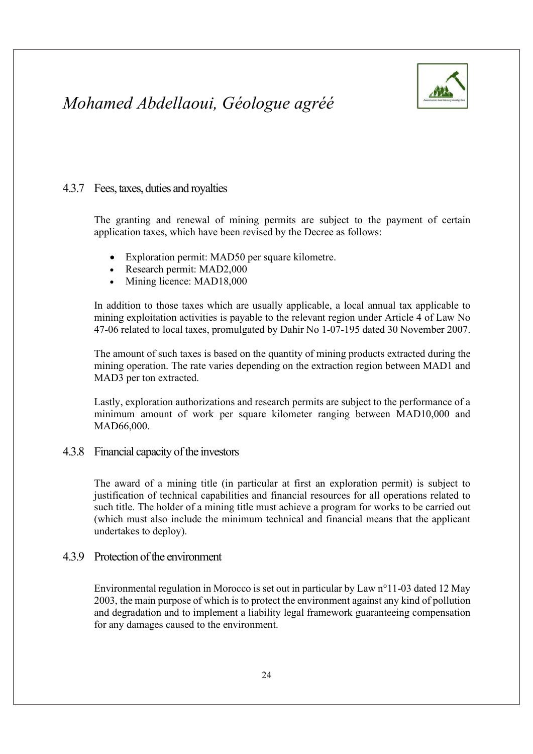

#### 4.3.7 Fees, taxes, duties and royalties

The granting and renewal of mining permits are subject to the payment of certain application taxes, which have been revised by the Decree as follows:

- Exploration permit: MAD50 per square kilometre.
- Research permit: MAD2,000
- Mining licence: MAD18,000

In addition to those taxes which are usually applicable, a local annual tax applicable to mining exploitation activities is payable to the relevant region under Article 4 of Law No 47-06 related to local taxes, promulgated by Dahir No 1-07-195 dated 30 November 2007.

The amount of such taxes is based on the quantity of mining products extracted during the mining operation. The rate varies depending on the extraction region between MAD1 and MAD3 per ton extracted.

Lastly, exploration authorizations and research permits are subject to the performance of a minimum amount of work per square kilometer ranging between MAD10,000 and MAD66,000.

4.3.8 Financial capacity of the investors

The award of a mining title (in particular at first an exploration permit) is subject to justification of technical capabilities and financial resources for all operations related to such title. The holder of a mining title must achieve a program for works to be carried out (which must also include the minimum technical and financial means that the applicant undertakes to deploy).

#### 4.3.9 Protection of the environment

Environmental regulation in Morocco is set out in particular by Law n°11-03 dated 12 May 2003, the main purpose of which is to protect the environment against any kind of pollution and degradation and to implement a liability legal framework guaranteeing compensation for any damages caused to the environment.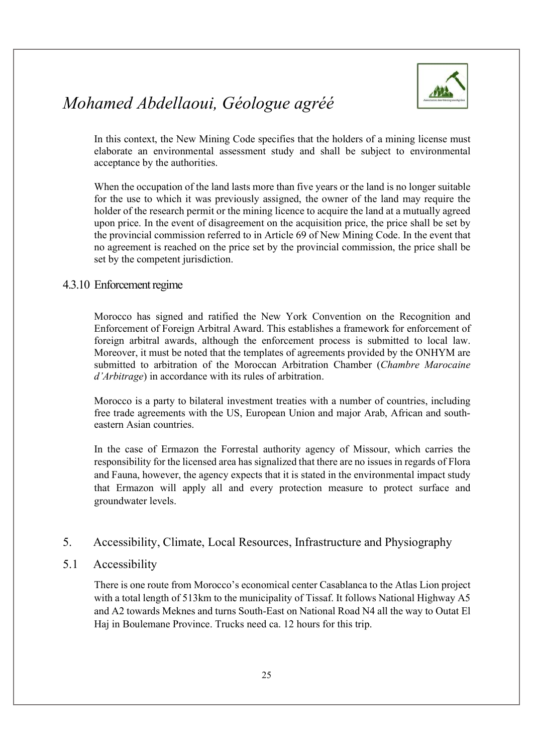

In this context, the New Mining Code specifies that the holders of a mining license must elaborate an environmental assessment study and shall be subject to environmental acceptance by the authorities.

When the occupation of the land lasts more than five years or the land is no longer suitable for the use to which it was previously assigned, the owner of the land may require the holder of the research permit or the mining licence to acquire the land at a mutually agreed upon price. In the event of disagreement on the acquisition price, the price shall be set by the provincial commission referred to in Article 69 of New Mining Code. In the event that no agreement is reached on the price set by the provincial commission, the price shall be set by the competent jurisdiction.

#### 4.3.10 Enforcement regime

Morocco has signed and ratified the New York Convention on the Recognition and Enforcement of Foreign Arbitral Award. This establishes a framework for enforcement of foreign arbitral awards, although the enforcement process is submitted to local law. Moreover, it must be noted that the templates of agreements provided by the ONHYM are submitted to arbitration of the Moroccan Arbitration Chamber (Chambre Marocaine d'Arbitrage) in accordance with its rules of arbitration.

Morocco is a party to bilateral investment treaties with a number of countries, including free trade agreements with the US, European Union and major Arab, African and southeastern Asian countries.

In the case of Ermazon the Forrestal authority agency of Missour, which carries the responsibility for the licensed area has signalized that there are no issues in regards of Flora and Fauna, however, the agency expects that it is stated in the environmental impact study that Ermazon will apply all and every protection measure to protect surface and groundwater levels.

#### 5. Accessibility, Climate, Local Resources, Infrastructure and Physiography

#### 5.1 Accessibility

There is one route from Morocco's economical center Casablanca to the Atlas Lion project with a total length of 513km to the municipality of Tissaf. It follows National Highway A5 and A2 towards Meknes and turns South-East on National Road N4 all the way to Outat El Haj in Boulemane Province. Trucks need ca. 12 hours for this trip.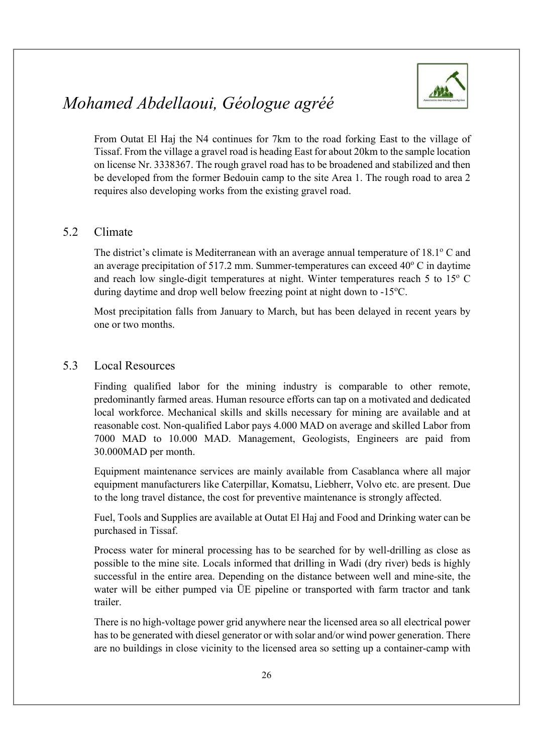

From Outat El Haj the N4 continues for 7km to the road forking East to the village of Tissaf. From the village a gravel road is heading East for about 20km to the sample location on license Nr. 3338367. The rough gravel road has to be broadened and stabilized and then be developed from the former Bedouin camp to the site Area 1. The rough road to area 2 requires also developing works from the existing gravel road.

#### 5.2 Climate

The district's climate is Mediterranean with an average annual temperature of 18.1° C and an average precipitation of 517.2 mm. Summer-temperatures can exceed  $40^{\circ}$  C in daytime and reach low single-digit temperatures at night. Winter temperatures reach 5 to  $15^{\circ}$  C during daytime and drop well below freezing point at night down to -15°C.

Most precipitation falls from January to March, but has been delayed in recent years by one or two months.

#### 5.3 Local Resources

Finding qualified labor for the mining industry is comparable to other remote, predominantly farmed areas. Human resource efforts can tap on a motivated and dedicated local workforce. Mechanical skills and skills necessary for mining are available and at reasonable cost. Non-qualified Labor pays 4.000 MAD on average and skilled Labor from 7000 MAD to 10.000 MAD. Management, Geologists, Engineers are paid from 30.000MAD per month.

Equipment maintenance services are mainly available from Casablanca where all major equipment manufacturers like Caterpillar, Komatsu, Liebherr, Volvo etc. are present. Due to the long travel distance, the cost for preventive maintenance is strongly affected.

Fuel, Tools and Supplies are available at Outat El Haj and Food and Drinking water can be purchased in Tissaf.

Process water for mineral processing has to be searched for by well-drilling as close as possible to the mine site. Locals informed that drilling in Wadi (dry river) beds is highly successful in the entire area. Depending on the distance between well and mine-site, the water will be either pumped via ÜE pipeline or transported with farm tractor and tank trailer.

There is no high-voltage power grid anywhere near the licensed area so all electrical power has to be generated with diesel generator or with solar and/or wind power generation. There are no buildings in close vicinity to the licensed area so setting up a container-camp with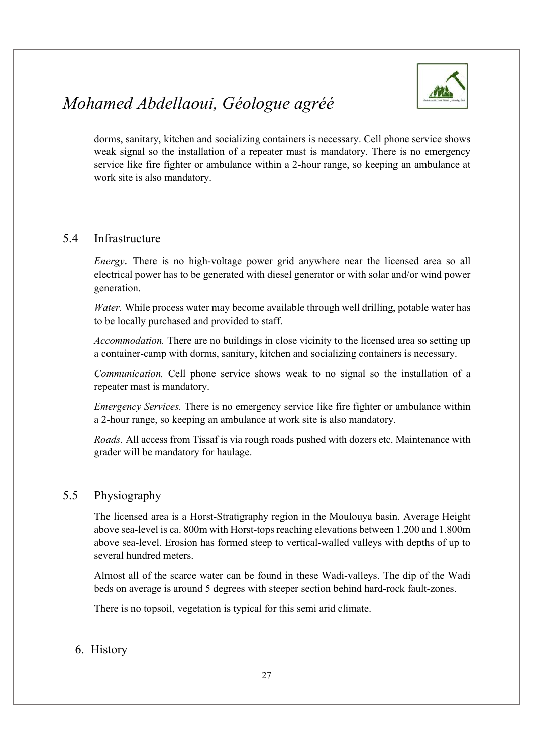

dorms, sanitary, kitchen and socializing containers is necessary. Cell phone service shows weak signal so the installation of a repeater mast is mandatory. There is no emergency service like fire fighter or ambulance within a 2-hour range, so keeping an ambulance at work site is also mandatory.

#### 5.4 Infrastructure

Energy. There is no high-voltage power grid anywhere near the licensed area so all electrical power has to be generated with diesel generator or with solar and/or wind power generation.

Water. While process water may become available through well drilling, potable water has to be locally purchased and provided to staff.

Accommodation. There are no buildings in close vicinity to the licensed area so setting up a container-camp with dorms, sanitary, kitchen and socializing containers is necessary.

Communication. Cell phone service shows weak to no signal so the installation of a repeater mast is mandatory.

Emergency Services. There is no emergency service like fire fighter or ambulance within a 2-hour range, so keeping an ambulance at work site is also mandatory.

Roads. All access from Tissaf is via rough roads pushed with dozers etc. Maintenance with grader will be mandatory for haulage.

#### 5.5 Physiography

The licensed area is a Horst-Stratigraphy region in the Moulouya basin. Average Height above sea-level is ca. 800m with Horst-tops reaching elevations between 1.200 and 1.800m above sea-level. Erosion has formed steep to vertical-walled valleys with depths of up to several hundred meters.

Almost all of the scarce water can be found in these Wadi-valleys. The dip of the Wadi beds on average is around 5 degrees with steeper section behind hard-rock fault-zones.

There is no topsoil, vegetation is typical for this semi arid climate.

#### 6. History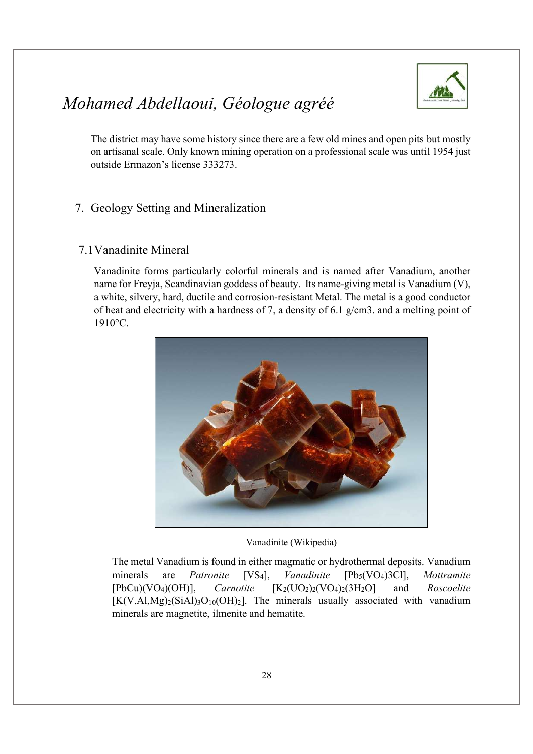

The district may have some history since there are a few old mines and open pits but mostly on artisanal scale. Only known mining operation on a professional scale was until 1954 just outside Ermazon's license 333273.

#### 7. Geology Setting and Mineralization

#### 7.1 Vanadinite Mineral

Vanadinite forms particularly colorful minerals and is named after Vanadium, another name for Freyja, Scandinavian goddess of beauty. Its name-giving metal is Vanadium (V), a white, silvery, hard, ductile and corrosion-resistant Metal. The metal is a good conductor of heat and electricity with a hardness of 7, a density of 6.1 g/cm3. and a melting point of 1910°C.



Vanadinite (Wikipedia)

The metal Vanadium is found in either magmatic or hydrothermal deposits. Vanadium minerals are *Patronite* [VS<sub>4</sub>], *Vanadinite* [Pb<sub>5</sub>(VO<sub>4</sub>)3Cl], *Mottramite*  $[PbCu)(VO<sub>4</sub>)(OH)],$  *Carnotite*  $[K<sub>2</sub>(UO<sub>2</sub>)<sub>2</sub>(VO<sub>4</sub>)<sub>2</sub>(3H<sub>2</sub>O]$  and *Roscoelite*  $[K(V,A1,Mg)_2(SiA1)_3O_{10}(OH)_2]$ . The minerals usually associated with vanadium minerals are magnetite, ilmenite and hematite.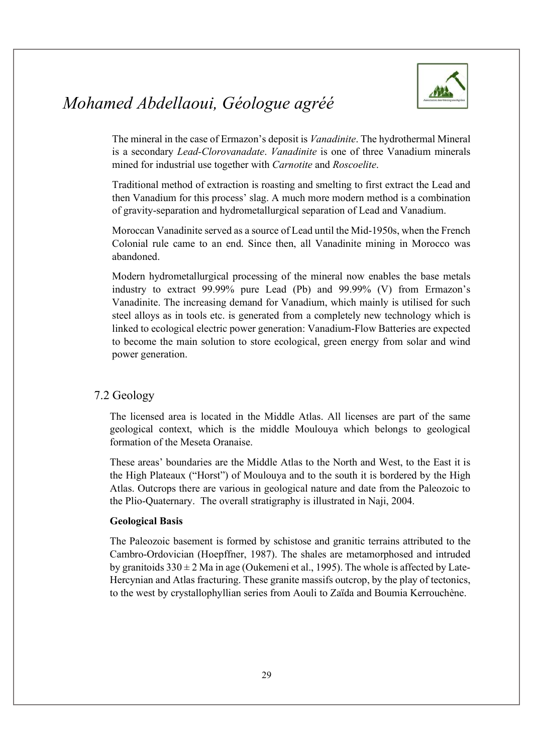

The mineral in the case of Ermazon's deposit is Vanadinite. The hydrothermal Mineral is a secondary Lead-Clorovanadate. Vanadinite is one of three Vanadium minerals mined for industrial use together with *Carnotite* and *Roscoelite*.<br>Traditional method of extraction is roasting and smelting to first extract the Lead and

then Vanadium for this process' slag. A much more modern method is a combination of gravity-separation and hydrometallurgical separation of Lead and Vanadium.

Moroccan Vanadinite served as a source of Lead until the Mid-1950s, when the French Colonial rule came to an end. Since then, all Vanadinite mining in Morocco was abandoned.

Modern hydrometallurgical processing of the mineral now enables the base metals industry to extract 99.99% pure Lead (Pb) and 99.99% (V) from Ermazon's Vanadinite. The increasing demand for Vanadium, which mainly is utilised for such steel alloys as in tools etc. is generated from a completely new technology which is linked to ecological electric power generation: Vanadium-Flow Batteries are expected to become the main solution to store ecological, green energy from solar and wind power generation.

#### 7.2 Geology

The licensed area is located in the Middle Atlas. All licenses are part of the same geological context, which is the middle Moulouya which belongs to geological formation of the Meseta Oranaise.

These areas' boundaries are the Middle Atlas to the North and West, to the East it is the High Plateaux ("Horst") of Moulouya and to the south it is bordered by the High Atlas. Outcrops there are various in geological nature and date from the Paleozoic to the Plio-Quaternary. The overall stratigraphy is illustrated in Naji, 2004.

#### Geological Basis

The Paleozoic basement is formed by schistose and granitic terrains attributed to the Cambro-Ordovician (Hoepffner, 1987). The shales are metamorphosed and intruded by granitoids  $330 \pm 2$  Ma in age (Oukemeni et al., 1995). The whole is affected by Late-Hercynian and Atlas fracturing. These granite massifs outcrop, by the play of tectonics, to the west by crystallophyllian series from Aouli to Zaïda and Boumia Kerrouchène.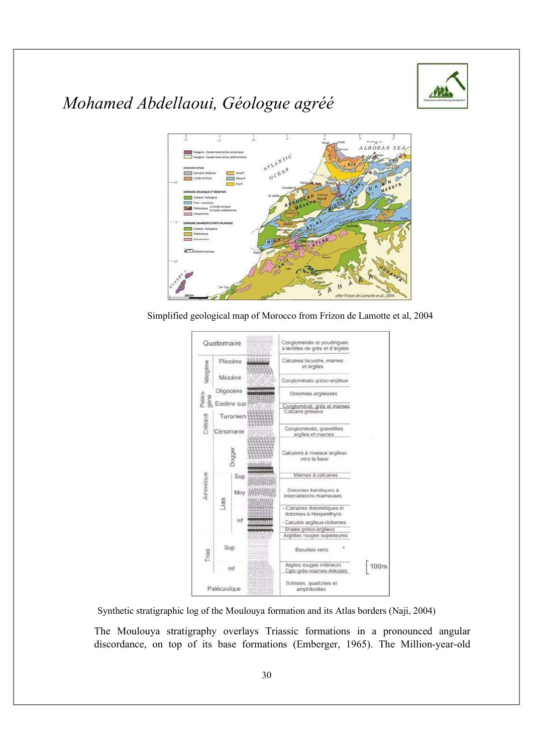



Simplified geological map of Morocco from Frizon de Lamotte et al, 2004



Synthetic stratigraphic log of the Moulouya formation and its Atlas borders (Naji, 2004)

The Moulouya stratigraphy overlays Triassic formations in a pronounced angular discordance, on top of its base formations (Emberger, 1965). The Million-year-old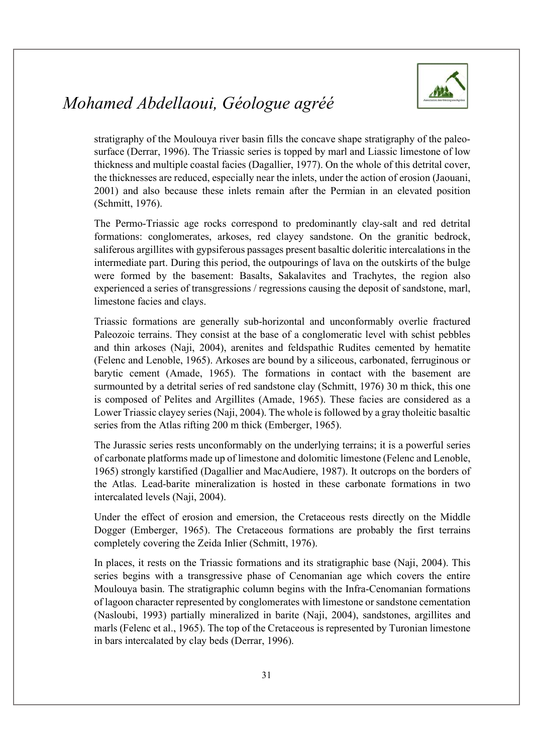

stratigraphy of the Moulouya river basin fills the concave shape stratigraphy of the paleosurface (Derrar, 1996). The Triassic series is topped by marl and Liassic limestone of low thickness and multiple coastal facies (Dagallier, 1977). On the whole of this detrital cover, the thicknesses are reduced, especially near the inlets, under the action of erosion (Jaouani, 2001) and also because these inlets remain after the Permian in an elevated position (Schmitt, 1976).

The Permo-Triassic age rocks correspond to predominantly clay-salt and red detrital formations: conglomerates, arkoses, red clayey sandstone. On the granitic bedrock, saliferous argillites with gypsiferous passages present basaltic doleritic intercalations in the intermediate part. During this period, the outpourings of lava on the outskirts of the bulge were formed by the basement: Basalts, Sakalavites and Trachytes, the region also experienced a series of transgressions / regressions causing the deposit of sandstone, marl, limestone facies and clays.

Triassic formations are generally sub-horizontal and unconformably overlie fractured Paleozoic terrains. They consist at the base of a conglomeratic level with schist pebbles and thin arkoses (Naji, 2004), arenites and feldspathic Rudites cemented by hematite (Felenc and Lenoble, 1965). Arkoses are bound by a siliceous, carbonated, ferruginous or barytic cement (Amade, 1965). The formations in contact with the basement are surmounted by a detrital series of red sandstone clay (Schmitt, 1976) 30 m thick, this one is composed of Pelites and Argillites (Amade, 1965). These facies are considered as a Lower Triassic clayey series (Naji, 2004). The whole is followed by a gray tholeitic basaltic series from the Atlas rifting 200 m thick (Emberger, 1965).

The Jurassic series rests unconformably on the underlying terrains; it is a powerful series of carbonate platforms made up of limestone and dolomitic limestone (Felenc and Lenoble, 1965) strongly karstified (Dagallier and MacAudiere, 1987). It outcrops on the borders of the Atlas. Lead-barite mineralization is hosted in these carbonate formations in two intercalated levels (Naji, 2004).

Under the effect of erosion and emersion, the Cretaceous rests directly on the Middle Dogger (Emberger, 1965). The Cretaceous formations are probably the first terrains completely covering the Zeida Inlier (Schmitt, 1976).

In places, it rests on the Triassic formations and its stratigraphic base (Naji, 2004). This series begins with a transgressive phase of Cenomanian age which covers the entire Moulouya basin. The stratigraphic column begins with the Infra-Cenomanian formations of lagoon character represented by conglomerates with limestone or sandstone cementation (Nasloubi, 1993) partially mineralized in barite (Naji, 2004), sandstones, argillites and marls (Felenc et al., 1965). The top of the Cretaceous is represented by Turonian limestone in bars intercalated by clay beds (Derrar, 1996).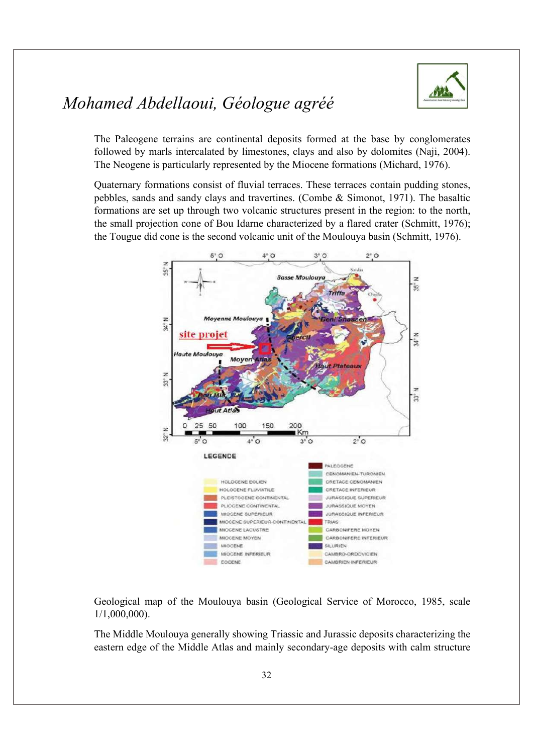

The Paleogene terrains are continental deposits formed at the base by conglomerates followed by marls intercalated by limestones, clays and also by dolomites (Naji, 2004). The Neogene is particularly represented by the Miocene formations (Michard, 1976).

Quaternary formations consist of fluvial terraces. These terraces contain pudding stones, pebbles, sands and sandy clays and travertines. (Combe & Simonot, 1971). The basaltic formations are set up through two volcanic structures present in the region: to the north, the small projection cone of Bou Idarne characterized by a flared crater (Schmitt, 1976); the Tougue did cone is the second volcanic unit of the Moulouya basin (Schmitt, 1976).



Geological map of the Moulouya basin (Geological Service of Morocco, 1985, scale 1/1,000,000). The Middle Moulouya generally showing Triassic and Jurassic deposits characterizing the

eastern edge of the Middle Atlas and mainly secondary-age deposits with calm structure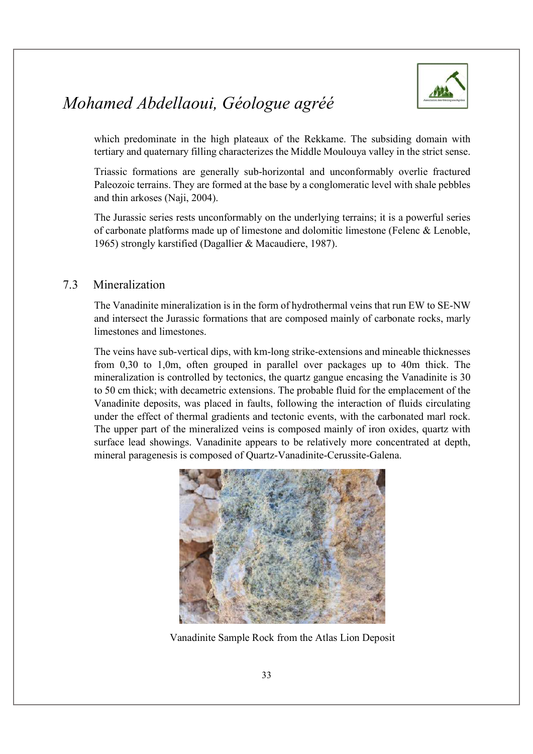

which predominate in the high plateaux of the Rekkame. The subsiding domain with tertiary and quaternary filling characterizes the Middle Moulouya valley in the strict sense.

Triassic formations are generally sub-horizontal and unconformably overlie fractured Paleozoic terrains. They are formed at the base by a conglomeratic level with shale pebbles and thin arkoses (Naji, 2004).

The Jurassic series rests unconformably on the underlying terrains; it is a powerful series of carbonate platforms made up of limestone and dolomitic limestone (Felenc & Lenoble, 1965) strongly karstified (Dagallier & Macaudiere, 1987).

#### 7.3 Mineralization

The Vanadinite mineralization is in the form of hydrothermal veins that run EW to SE-NW and intersect the Jurassic formations that are composed mainly of carbonate rocks, marly limestones and limestones.

The veins have sub-vertical dips, with km-long strike-extensions and mineable thicknesses from 0,30 to 1,0m, often grouped in parallel over packages up to 40m thick. The mineralization is controlled by tectonics, the quartz gangue encasing the Vanadinite is 30 to 50 cm thick; with decametric extensions. The probable fluid for the emplacement of the Vanadinite deposits, was placed in faults, following the interaction of fluids circulating under the effect of thermal gradients and tectonic events, with the carbonated marl rock. The upper part of the mineralized veins is composed mainly of iron oxides, quartz with surface lead showings. Vanadinite appears to be relatively more concentrated at depth, mineral paragenesis is composed of Quartz-Vanadinite-Cerussite-Galena.



Vanadinite Sample Rock from the Atlas Lion Deposit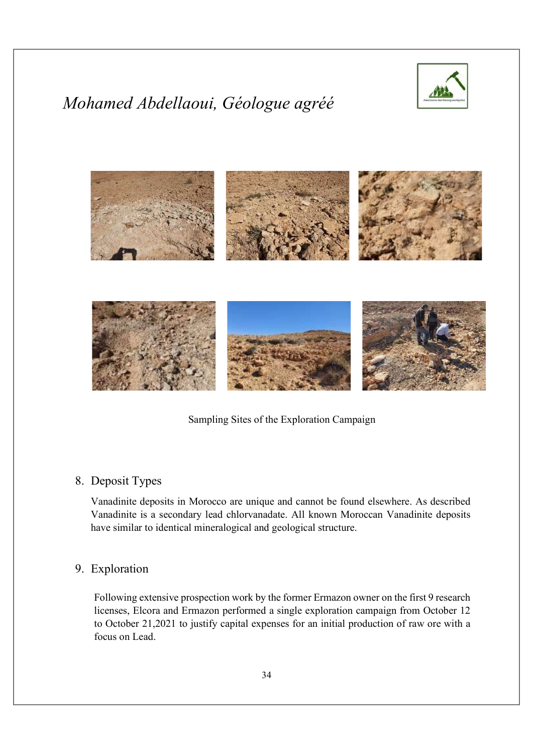



Sampling Sites of the Exploration Campaign

#### 8. Deposit Types

Vanadinite deposits in Morocco are unique and cannot be found elsewhere. As described Vanadinite is a secondary lead chlorvanadate. All known Moroccan Vanadinite deposits have similar to identical mineralogical and geological structure.

#### 9. Exploration

Following extensive prospection work by the former Ermazon owner on the first 9 research licenses, Elcora and Ermazon performed a single exploration campaign from October 12 to October 21,2021 to justify capital expenses for an initial production of raw ore with a focus on Lead.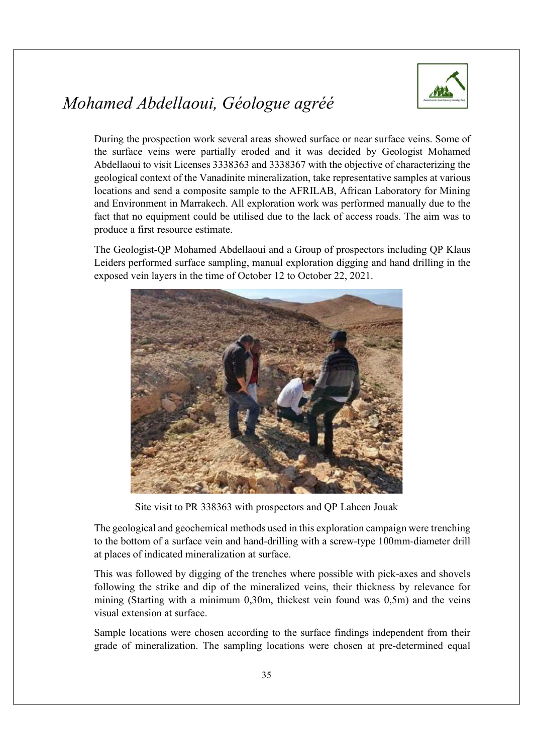

During the prospection work several areas showed surface or near surface veins. Some of the surface veins were partially eroded and it was decided by Geologist Mohamed Abdellaoui to visit Licenses 3338363 and 3338367 with the objective of characterizing the geological context of the Vanadinite mineralization, take representative samples at various locations and send a composite sample to the AFRILAB, African Laboratory for Mining and Environment in Marrakech. All exploration work was performed manually due to the fact that no equipment could be utilised due to the lack of access roads. The aim was to produce a first resource estimate.

The Geologist-QP Mohamed Abdellaoui and a Group of prospectors including QP Klaus Leiders performed surface sampling, manual exploration digging and hand drilling in the exposed vein layers in the time of October 12 to October 22, 2021.



Site visit to PR 338363 with prospectors and QP Lahcen Jouak

The geological and geochemical methods used in this exploration campaign were trenching to the bottom of a surface vein and hand-drilling with a screw-type 100mm-diameter drill at places of indicated mineralization at surface.

This was followed by digging of the trenches where possible with pick-axes and shovels following the strike and dip of the mineralized veins, their thickness by relevance for mining (Starting with a minimum 0,30m, thickest vein found was 0,5m) and the veins visual extension at surface.

Sample locations were chosen according to the surface findings independent from their grade of mineralization. The sampling locations were chosen at pre-determined equal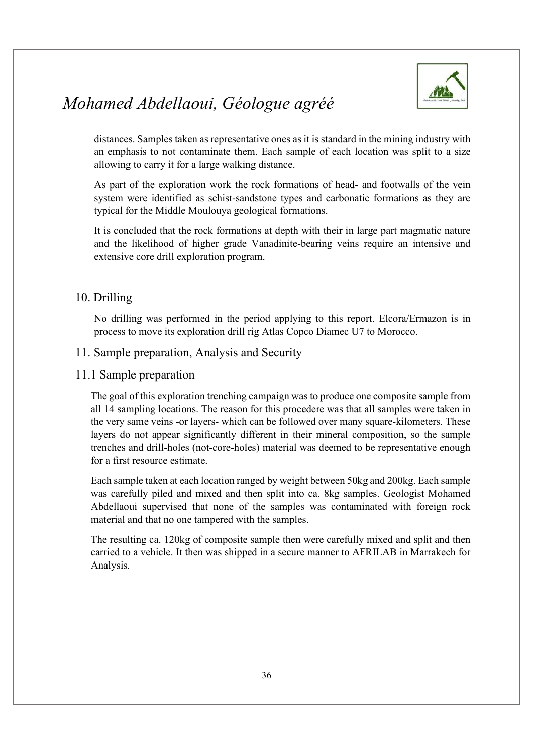

distances. Samples taken as representative ones as it is standard in the mining industry with an emphasis to not contaminate them. Each sample of each location was split to a size allowing to carry it for a large walking distance.

As part of the exploration work the rock formations of head- and footwalls of the vein system were identified as schist-sandstone types and carbonatic formations as they are typical for the Middle Moulouya geological formations.

It is concluded that the rock formations at depth with their in large part magmatic nature and the likelihood of higher grade Vanadinite-bearing veins require an intensive and extensive core drill exploration program.

#### 10. Drilling

No drilling was performed in the period applying to this report. Elcora/Ermazon is in process to move its exploration drill rig Atlas Copco Diamec U7 to Morocco.

#### 11. Sample preparation, Analysis and Security

#### 11.1 Sample preparation

The goal of this exploration trenching campaign was to produce one composite sample from all 14 sampling locations. The reason for this procedere was that all samples were taken in the very same veins -or layers- which can be followed over many square-kilometers. These layers do not appear significantly different in their mineral composition, so the sample trenches and drill-holes (not-core-holes) material was deemed to be representative enough for a first resource estimate.

Each sample taken at each location ranged by weight between 50kg and 200kg. Each sample was carefully piled and mixed and then split into ca. 8kg samples. Geologist Mohamed Abdellaoui supervised that none of the samples was contaminated with foreign rock material and that no one tampered with the samples.

The resulting ca. 120kg of composite sample then were carefully mixed and split and then carried to a vehicle. It then was shipped in a secure manner to AFRILAB in Marrakech for Analysis.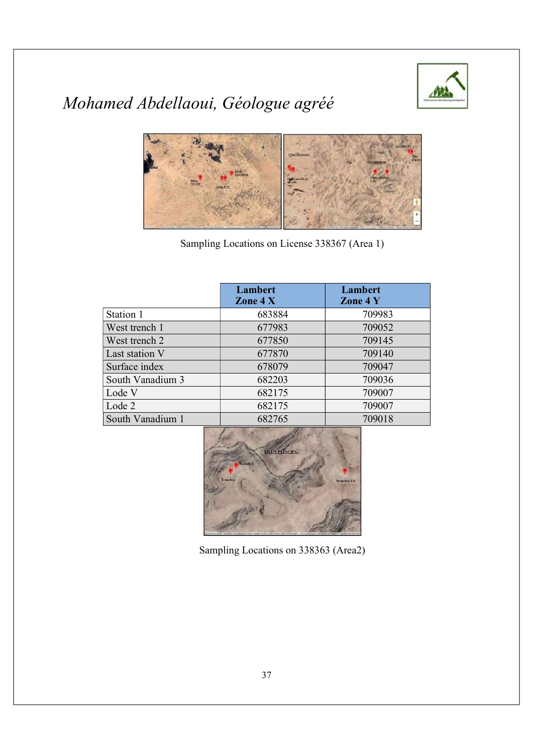



Sampling Locations on License 338367 (Area 1)

|                  | Lambert<br>Zone $4X$ | Lambert<br>Zone 4 Y |
|------------------|----------------------|---------------------|
| Station 1        | 683884               | 709983              |
| West trench 1    | 677983               | 709052              |
| West trench 2    | 677850               | 709145              |
| Last station V   | 677870               | 709140              |
| Surface index    | 678079               | 709047              |
| South Vanadium 3 | 682203               | 709036              |
| Lode V           | 682175               | 709007              |
| Lode 2           | 682175               | 709007              |
| South Vanadium 1 | 682765               | 709018              |



Sampling Locations on 338363 (Area2)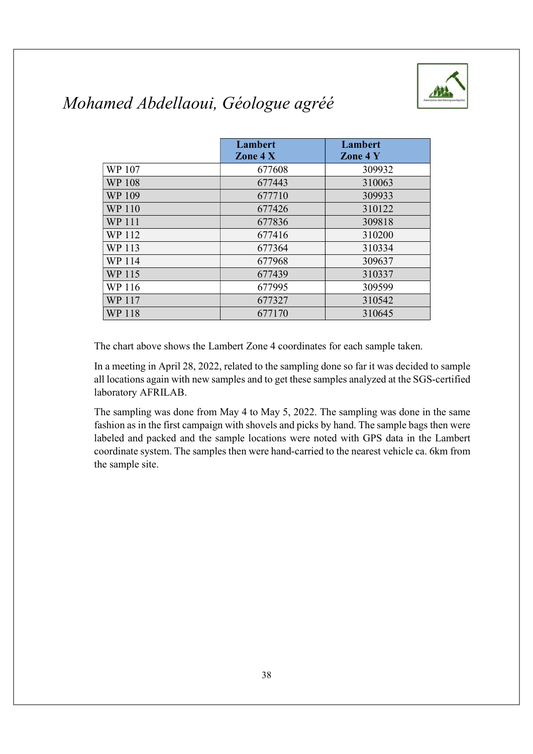

|               | Lambert<br>Zone $4X$ | Lambert<br>Zone 4 Y |
|---------------|----------------------|---------------------|
| WP 107        | 677608               | 309932              |
| <b>WP 108</b> | 677443               | 310063              |
| WP 109        | 677710               | 309933              |
| WP 110        | 677426               | 310122              |
| WP 111        | 677836               | 309818              |
| WP 112        | 677416               | 310200              |
| WP 113        | 677364               | 310334              |
| WP 114        | 677968               | 309637              |
| WP 115        | 677439               | 310337              |
| WP 116        | 677995               | 309599              |
| WP 117        | 677327               | 310542              |
| <b>WP 118</b> | 677170               | 310645              |

The chart above shows the Lambert Zone 4 coordinates for each sample taken.

In a meeting in April 28, 2022, related to the sampling done so far it was decided to sample all locations again with new samples and to get these samples analyzed at the SGS-certified laboratory AFRILAB.

The sampling was done from May 4 to May 5, 2022. The sampling was done in the same fashion as in the first campaign with shovels and picks by hand. The sample bags then were labeled and packed and the sample locations were noted with GPS data in the Lambert coordinate system. The samples then were hand-carried to the nearest vehicle ca. 6km from the sample site.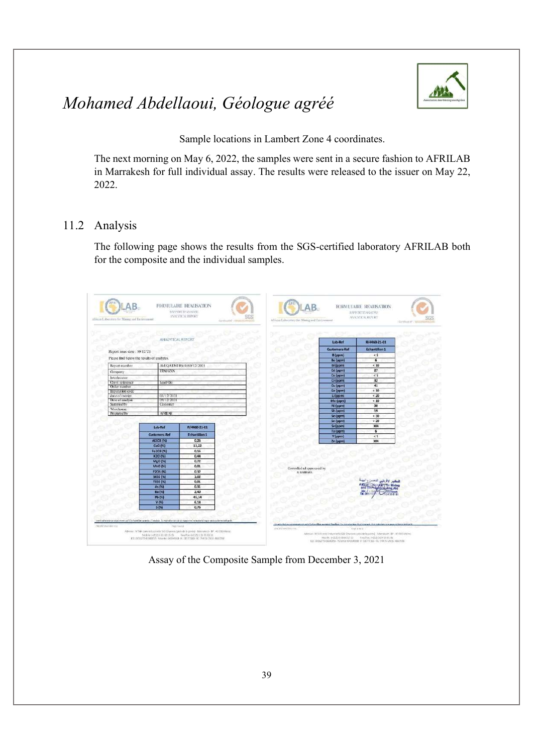

Sample locations in Lambert Zone 4 coordinates.

The next morning on May 6, 2022, the samples were sent in a secure fashion to AFRILAB in Marrakesh for full individual assay. The results were released to the issuer on May 22, 2022.

#### 11.2 Analysis

The following page shows the results from the SGS-certified laboratory AFRILAB both for the composite and the individual samples.

| Report issue date : 10/12/21               | MALVILCAL REPOR      |                          |                                                 |                                          |  |
|--------------------------------------------|----------------------|--------------------------|-------------------------------------------------|------------------------------------------|--|
|                                            |                      |                          | Lab-Ref                                         | R/4460-21-01                             |  |
|                                            |                      |                          | <b>Customers-Ref</b>                            | <b>Echantillon 1</b>                     |  |
|                                            |                      |                          | <b>B</b> (ppm)                                  | 5 <sub>5</sub>                           |  |
| Please find below the results of analyzes. |                      |                          | Be (ppm)                                        | $\mathbf{5}$                             |  |
| Report number                              |                      | AM/QA/DM/RA/4460/12/2021 | <b>Bi</b> (ppm)                                 | < 10                                     |  |
| Company                                    | <b>ERMAZAN</b>       |                          | Cd (ppm)                                        | 27                                       |  |
|                                            |                      |                          | Co [ppm]                                        | $\leq$ 5                                 |  |
| Interlocutor<br>Clent reference            |                      |                          | Cr (ppm)                                        | 32                                       |  |
| Order number                               | lead On:             |                          | Cu (ppm)                                        | 41                                       |  |
| Imputation code                            |                      |                          | Ge (ppm)                                        | < 10                                     |  |
| date of receipt                            | 03/12/2021           |                          | Li (ppm)                                        | 20                                       |  |
| <b>Date of analysis</b>                    | 09/12/2021           |                          | Mo (ppm)                                        | < 10                                     |  |
| Sampled by                                 | Cirstomer            |                          | Ni (ppm)                                        | 30                                       |  |
| Warehouse                                  |                      |                          | Sb (ppm)                                        | 19                                       |  |
| Prepared by                                | <b>AFRICAR</b>       |                          | Se (ppm)                                        | 30                                       |  |
|                                            |                      |                          | So (ppm)                                        | < 20                                     |  |
|                                            | Lab-Ref              | R/4460-21-01             | Sr (ppm)                                        | 304                                      |  |
|                                            |                      |                          | Ta (ppm)                                        | $\overline{6}$                           |  |
|                                            | <b>Customers-Ref</b> | <b>Echantillon 1</b>     | Y (ppm)                                         | <1                                       |  |
|                                            | AF203 (%)            | 0.26                     | Zn (ppm)                                        | 304                                      |  |
|                                            | CaO (%)              | 13,22                    |                                                 |                                          |  |
|                                            | Fe2O3 (%)            | 0.16                     |                                                 |                                          |  |
|                                            | <b>K2O (%)</b>       | 0.44                     |                                                 |                                          |  |
|                                            | MgO <sub>[94</sub> ] | 0.72                     |                                                 |                                          |  |
|                                            | MnO (%)              | 0.01                     |                                                 |                                          |  |
|                                            | P205 (%)             | 0.32                     | Controlled ad approuved by<br><b>R. HARRAKA</b> |                                          |  |
|                                            | <b>SiO2 (%)</b>      | 1.02                     |                                                 |                                          |  |
|                                            | <b>TIO2 (%)</b>      | 0.01                     |                                                 | <b>EL MANY</b>                           |  |
|                                            |                      | 0.31                     |                                                 | <b>Aldican Lag</b><br><b>The Minimum</b> |  |
|                                            |                      |                          |                                                 | <b>ASSESSMENT</b>                        |  |
|                                            | As (%)               |                          |                                                 |                                          |  |
|                                            | <b>Ba (%)</b>        | 2.40                     |                                                 | THE OUTER                                |  |
|                                            | <b>Pb (%)</b>        | 45,14                    |                                                 |                                          |  |
|                                            | V(50)<br>5 (%)       | 6.14<br>0.76             |                                                 |                                          |  |

Assay of the Composite Sample from December 3, 2021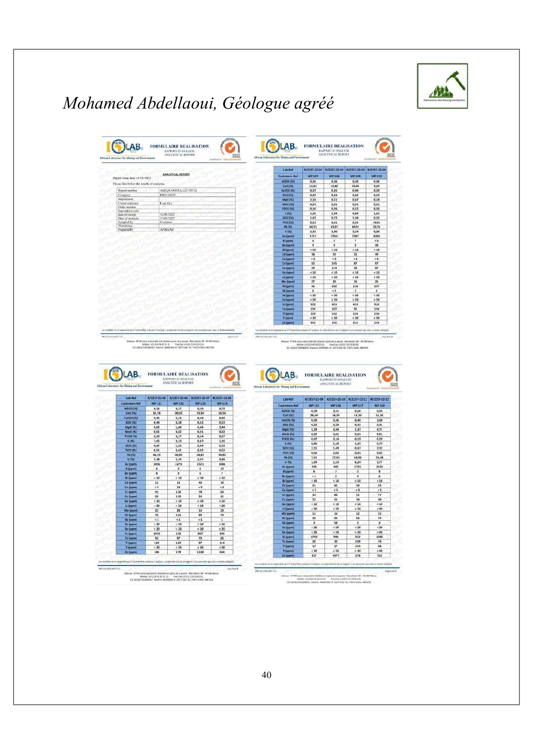

| African Laboratory for Mixing and Eirelen                                                          |                                                                                                                                                                                                                                                                                                                                                                                                                                                                                                                                                                                                                                                                                                        |                                                    |                         |                     |                                                         |                                                      |                                                                                                                                                        |                                                                           |                                            |                                                                                                                                          |
|----------------------------------------------------------------------------------------------------|--------------------------------------------------------------------------------------------------------------------------------------------------------------------------------------------------------------------------------------------------------------------------------------------------------------------------------------------------------------------------------------------------------------------------------------------------------------------------------------------------------------------------------------------------------------------------------------------------------------------------------------------------------------------------------------------------------|----------------------------------------------------|-------------------------|---------------------|---------------------------------------------------------|------------------------------------------------------|--------------------------------------------------------------------------------------------------------------------------------------------------------|---------------------------------------------------------------------------|--------------------------------------------|------------------------------------------------------------------------------------------------------------------------------------------|
|                                                                                                    |                                                                                                                                                                                                                                                                                                                                                                                                                                                                                                                                                                                                                                                                                                        | <b>ANALYTICAL REPORT</b>                           |                         |                     |                                                         | Lab-Ref                                              |                                                                                                                                                        | R/2257-22-01 R/2257-22-02 R/2257-22-03 R/2257-22-04                       |                                            |                                                                                                                                          |
| Report insee date: 18/05/2022.                                                                     |                                                                                                                                                                                                                                                                                                                                                                                                                                                                                                                                                                                                                                                                                                        |                                                    |                         |                     |                                                         | Customers-Ref                                        | <b>WP 107</b>                                                                                                                                          | <b>WP 108</b>                                                             | <b>WP 109</b>                              | <b>WP 110</b>                                                                                                                            |
| Please find below the results of analyzes                                                          |                                                                                                                                                                                                                                                                                                                                                                                                                                                                                                                                                                                                                                                                                                        |                                                    |                         |                     |                                                         | <b>AI2O3 (%)</b><br>CaO (%)                          | 0,26<br>11,65                                                                                                                                          | 0,36<br>15,88                                                             | 0,39<br>20,90                              | 0,06<br>9,69                                                                                                                             |
| Report number                                                                                      |                                                                                                                                                                                                                                                                                                                                                                                                                                                                                                                                                                                                                                                                                                        | AMQA/DM/RA/2257/05/22                              |                         |                     |                                                         | Fe203 (%)                                            | 0,37                                                                                                                                                   | 0,35                                                                      | 0,96                                       | 0,20                                                                                                                                     |
| Company<br>Interfactoro                                                                            |                                                                                                                                                                                                                                                                                                                                                                                                                                                                                                                                                                                                                                                                                                        | <b>ERMAZON</b>                                     |                         |                     |                                                         | K2G (%)                                              | 0,45                                                                                                                                                   | 0,43                                                                      | 0,42                                       | 0,29                                                                                                                                     |
| Chest reference                                                                                    | Lead Ore                                                                                                                                                                                                                                                                                                                                                                                                                                                                                                                                                                                                                                                                                               |                                                    |                         |                     |                                                         | MgO (%)<br>MnO (%)                                   | 2,16<br>0,01                                                                                                                                           | 0,51<br>0.01                                                              | 0,47<br>0.01                               | 0, 18<br>0,01                                                                                                                            |
| Order number                                                                                       |                                                                                                                                                                                                                                                                                                                                                                                                                                                                                                                                                                                                                                                                                                        |                                                    |                         |                     |                                                         | P205 (%)                                             | 0,16                                                                                                                                                   | 0,26                                                                      | 0,22                                       | 0,20                                                                                                                                     |
| Imputation code<br>date of receipt                                                                 |                                                                                                                                                                                                                                                                                                                                                                                                                                                                                                                                                                                                                                                                                                        | 12/05/2022                                         |                         |                     |                                                         | S(M)                                                 | 1,20                                                                                                                                                   | 1,04                                                                      | 0,84                                       | 1,41                                                                                                                                     |
| Date of analysis                                                                                   | 17/05/2022<br>Costumer                                                                                                                                                                                                                                                                                                                                                                                                                                                                                                                                                                                                                                                                                 |                                                    |                         |                     |                                                         | <b>SiO2 (%)</b>                                      | 1,65                                                                                                                                                   | 0,72                                                                      | 1,04                                       | 0,32                                                                                                                                     |
| Sampled by<br>Warehouse                                                                            |                                                                                                                                                                                                                                                                                                                                                                                                                                                                                                                                                                                                                                                                                                        |                                                    |                         |                     |                                                         | <b>TiO2 (%)</b><br>Pb (%)                            | 0,01<br>44.25                                                                                                                                          | 0,01<br>43,07                                                             | 0.01<br>40.01                              | $-0.01$<br>50,76                                                                                                                         |
| Prepared by                                                                                        | <b>AFRILAB</b>                                                                                                                                                                                                                                                                                                                                                                                                                                                                                                                                                                                                                                                                                         |                                                    |                         |                     |                                                         | V(96)                                                | 5,91                                                                                                                                                   | 5,90                                                                      | 5,24                                       | 6,66                                                                                                                                     |
|                                                                                                    |                                                                                                                                                                                                                                                                                                                                                                                                                                                                                                                                                                                                                                                                                                        |                                                    |                         |                     |                                                         | As (porm)                                            | 1713                                                                                                                                                   | 2354                                                                      | 1947                                       | 4268                                                                                                                                     |
|                                                                                                    |                                                                                                                                                                                                                                                                                                                                                                                                                                                                                                                                                                                                                                                                                                        |                                                    |                         |                     |                                                         | <b>B</b> (ppm)                                       | 6                                                                                                                                                      | is.                                                                       | v<br>ï                                     | < 5<br>10                                                                                                                                |
|                                                                                                    |                                                                                                                                                                                                                                                                                                                                                                                                                                                                                                                                                                                                                                                                                                        |                                                    |                         |                     |                                                         | <b>Be [ppm]</b><br><b>Bi</b> (ppm)                   | 9<br>< 10                                                                                                                                              | 9<br>< 10                                                                 | < 10                                       | < 10                                                                                                                                     |
|                                                                                                    |                                                                                                                                                                                                                                                                                                                                                                                                                                                                                                                                                                                                                                                                                                        |                                                    |                         |                     |                                                         | Cd (ppm)                                             | 18                                                                                                                                                     | 15                                                                        | 11                                         | 19                                                                                                                                       |
|                                                                                                    |                                                                                                                                                                                                                                                                                                                                                                                                                                                                                                                                                                                                                                                                                                        |                                                    |                         |                     |                                                         | Co (ppm)                                             | $\times$ 5                                                                                                                                             | 5                                                                         | < 5                                        | 5 <sub>5</sub>                                                                                                                           |
|                                                                                                    |                                                                                                                                                                                                                                                                                                                                                                                                                                                                                                                                                                                                                                                                                                        |                                                    |                         |                     |                                                         | Cr. (ppm)                                            | 52<br>39                                                                                                                                               | 145<br>114                                                                | $\overline{1}$<br>56                       | 67<br>87                                                                                                                                 |
|                                                                                                    |                                                                                                                                                                                                                                                                                                                                                                                                                                                                                                                                                                                                                                                                                                        |                                                    |                         |                     |                                                         | Cu (ppm)<br>Ge (spm)                                 | < 10                                                                                                                                                   | < 10                                                                      | < 10                                       | 10                                                                                                                                       |
|                                                                                                    |                                                                                                                                                                                                                                                                                                                                                                                                                                                                                                                                                                                                                                                                                                        |                                                    |                         |                     |                                                         | Li (pomi)                                            | < 20                                                                                                                                                   | 120                                                                       | < 20                                       | 120                                                                                                                                      |
|                                                                                                    |                                                                                                                                                                                                                                                                                                                                                                                                                                                                                                                                                                                                                                                                                                        |                                                    |                         |                     |                                                         | Mo (ppm)                                             | 27                                                                                                                                                     | 20                                                                        | 15                                         | 25                                                                                                                                       |
|                                                                                                    |                                                                                                                                                                                                                                                                                                                                                                                                                                                                                                                                                                                                                                                                                                        |                                                    |                         |                     |                                                         | Ni (ppm)                                             | 42<br>a                                                                                                                                                | 252<br>< 1                                                                | 116<br>з                                   | 237                                                                                                                                      |
|                                                                                                    |                                                                                                                                                                                                                                                                                                                                                                                                                                                                                                                                                                                                                                                                                                        |                                                    |                         |                     |                                                         | 5b (ppm)<br>Se (ppm)                                 | < 30                                                                                                                                                   | < 30                                                                      | < 30                                       | $\overline{4}$<br>< 30                                                                                                                   |
|                                                                                                    |                                                                                                                                                                                                                                                                                                                                                                                                                                                                                                                                                                                                                                                                                                        |                                                    |                         |                     |                                                         | <b>Sn (ppm)</b>                                      | $<20$                                                                                                                                                  | < 20                                                                      | $20$                                       | 20                                                                                                                                       |
|                                                                                                    |                                                                                                                                                                                                                                                                                                                                                                                                                                                                                                                                                                                                                                                                                                        |                                                    |                         |                     |                                                         | Sr (ppm)                                             | 922                                                                                                                                                    | 453                                                                       | 423                                        | 910                                                                                                                                      |
|                                                                                                    |                                                                                                                                                                                                                                                                                                                                                                                                                                                                                                                                                                                                                                                                                                        |                                                    |                         |                     |                                                         | Ta (ppm)<br>TI (ppm)                                 | 101<br>132                                                                                                                                             | 107<br>142                                                                | 91<br>125                                  | 126<br>150                                                                                                                               |
|                                                                                                    |                                                                                                                                                                                                                                                                                                                                                                                                                                                                                                                                                                                                                                                                                                        |                                                    |                         |                     |                                                         | ¥ japmi                                              | <30                                                                                                                                                    | < 30                                                                      | < 30                                       | 30                                                                                                                                       |
|                                                                                                    |                                                                                                                                                                                                                                                                                                                                                                                                                                                                                                                                                                                                                                                                                                        |                                                    |                         |                     |                                                         | Zn (ppm)                                             | 551                                                                                                                                                    | 192                                                                       | 311                                        | 155                                                                                                                                      |
|                                                                                                    | Les résultés au se reprotent qu'il l'échantifique aux et ait l'endoit. La reproduction de sa support a les automnées que son un donne inséguée<br>Adress: N'344 sons independie Sali Charactrizets de la passa) - Marsakedy SP - 40 000 Marcs<br>$\begin{array}{lll} \textbf{M6886:} & \textbf{1}\textbf{4}\textbf{1}\textbf{1}\textbf{0}\textbf{6}\textbf{6}\textbf{1}\textbf{5}\textbf{0}\textbf{1}\textbf{5}\textbf{1} & \textbf{1} & \textbf{1}\textbf{1}\textbf{8}\textbf{0}\textbf{0}\textbf{1}\textbf{4}\textbf{0}\textbf{1}\textbf{1}\textbf{1}\textbf{1} \\ \textbf{1}\textbf{5}\textbf{5}\textbf{1}\textbf{1}\textbf{4}\textbf{3}\textbf{2}\textbf{5}\textbf{1}\textbf{1}\textbf{1}\textbf{$ | <b>FORMULAIRE REALISATION</b><br>RAPPORT D'ANALYSE |                         |                     | Lo registration<br><b>PASSAGE</b><br>PRO EQUIVALIST VID | AB.                                                  | terrar's Victors for argent A Condoo, La reporter<br>Adresse : N'il Maose industrielle Sick Gharleen (près de la goste) - Marzinech- MP : 48 BID-Maraz | in de ee nom<br><b>FORMULAIRE REALISATION</b><br><b>RAPPORT D'ANALYSE</b> | of relationshype an analysis mere holygish |                                                                                                                                          |
|                                                                                                    |                                                                                                                                                                                                                                                                                                                                                                                                                                                                                                                                                                                                                                                                                                        | ANALYTICAL REPORT                                  |                         | <b>Continued to</b> | sns                                                     | <b>Africas Laboratory for Mining and Eurizeamont</b> |                                                                                                                                                        | ANALYTICAL REPORT                                                         |                                            |                                                                                                                                          |
| <b>PRETOWNAME FIRE</b><br>Abican Laboratory for Mining and Environment<br>Lith-Ref                 | W/2257-22-05                                                                                                                                                                                                                                                                                                                                                                                                                                                                                                                                                                                                                                                                                           | R/2257-22-06                                       | R/2257-22-07            | R/2257-22-08        |                                                         | Lab-Ref                                              |                                                                                                                                                        | R/2257-22-09 R/2257-22-10 R/2257-22-11 R/2257-22-12                       |                                            |                                                                                                                                          |
| <b>Customers-Ref</b>                                                                               | <b>WP 111</b>                                                                                                                                                                                                                                                                                                                                                                                                                                                                                                                                                                                                                                                                                          | <b>WP 112</b>                                      | <b>WP 113</b>           | <b>WP 114</b>       |                                                         | <b>Customers-Ref</b>                                 | <b>WP115</b>                                                                                                                                           | <b>WP 116</b>                                                             | <b>WP 117</b>                              |                                                                                                                                          |
| <b>AI2O3 (%)</b>                                                                                   | 0,16                                                                                                                                                                                                                                                                                                                                                                                                                                                                                                                                                                                                                                                                                                   | 0, 17                                              | 0,36                    | 0,72<br>16,56       |                                                         | AIZO3 I%I                                            | 0,39                                                                                                                                                   | 0.31                                                                      | 0.16                                       |                                                                                                                                          |
| CaO (%)                                                                                            | 11,78<br>0,45                                                                                                                                                                                                                                                                                                                                                                                                                                                                                                                                                                                                                                                                                          | 20,02<br>2,19                                      | 23,34<br>0,40           | 0,90                |                                                         | CaO (%)                                              | 28.60                                                                                                                                                  | 18,20                                                                     | 11.20                                      |                                                                                                                                          |
| <b>K2O (%)</b>                                                                                     | 0,44                                                                                                                                                                                                                                                                                                                                                                                                                                                                                                                                                                                                                                                                                                   | 0,38                                               | 0,42                    | 0,53                |                                                         | Fe2O3 (%)                                            | 0.59<br>0.50                                                                                                                                           | 0.36<br>0.39                                                              | 0.40                                       |                                                                                                                                          |
|                                                                                                    | 0,62                                                                                                                                                                                                                                                                                                                                                                                                                                                                                                                                                                                                                                                                                                   | 1,60                                               | 2,46                    | 3,44                |                                                         | K2O (%)<br>MgO (%)                                   | 2,39                                                                                                                                                   | 4,94                                                                      | 0,41<br>1,37                               |                                                                                                                                          |
|                                                                                                    | 0,01<br>0, 23                                                                                                                                                                                                                                                                                                                                                                                                                                                                                                                                                                                                                                                                                          | 0,02<br>0, 17                                      | 0,01<br>0,24            | 0,02<br>0,27        |                                                         | MnD (%)                                              | 0,02                                                                                                                                                   | 0,01                                                                      | 0,01                                       |                                                                                                                                          |
| 3(96)                                                                                              | 1,05                                                                                                                                                                                                                                                                                                                                                                                                                                                                                                                                                                                                                                                                                                   | 0,33                                               | 0,87                    | 1,35                |                                                         | <b>P205 (%)</b>                                      | 0,07                                                                                                                                                   | 0.14                                                                      | 0,19                                       |                                                                                                                                          |
|                                                                                                    | 0,87                                                                                                                                                                                                                                                                                                                                                                                                                                                                                                                                                                                                                                                                                                   | 1,52                                               | 2,04                    | 2,52                |                                                         | 5(8)                                                 | 0,80<br>2.11                                                                                                                                           | 2,18<br>1.49                                                              | 1,35<br>0,67                               |                                                                                                                                          |
|                                                                                                    | 0.01                                                                                                                                                                                                                                                                                                                                                                                                                                                                                                                                                                                                                                                                                                   | 0.01                                               | 0.02                    | 0,02                |                                                         | <b>SIO2</b> (%)<br>TIO2 (%)                          | 0,02                                                                                                                                                   | 0,02                                                                      | 0,01                                       |                                                                                                                                          |
| Pb (%)<br>$V$ (%)                                                                                  | 41.35<br>5,38                                                                                                                                                                                                                                                                                                                                                                                                                                                                                                                                                                                                                                                                                          | 40.80<br>5,45                                      | 28.87<br>3,91           | 34.83<br>4,89       |                                                         | Pb (%)                                               | 7,61                                                                                                                                                   | 27,93                                                                     | 44.88                                      | Contracts <sup>e</sup> Liston<br><b>WP 118</b><br>0.33<br>14.35<br>1.08<br>0.41<br>4,71<br>0,01<br>0,29<br>0,79<br>2,32<br>0,02<br>28,48 |
|                                                                                                    | 1956                                                                                                                                                                                                                                                                                                                                                                                                                                                                                                                                                                                                                                                                                                   | 2279                                               | 1521                    | 1086                |                                                         | V(5)                                                 | 1,09                                                                                                                                                   | 1.53                                                                      | 6,24                                       |                                                                                                                                          |
|                                                                                                    | 6                                                                                                                                                                                                                                                                                                                                                                                                                                                                                                                                                                                                                                                                                                      | 8                                                  | 6                       | 12                  |                                                         | As (ppm)                                             | 348                                                                                                                                                    | 405                                                                       | 1733                                       |                                                                                                                                          |
|                                                                                                    | $\mathbf{x}$                                                                                                                                                                                                                                                                                                                                                                                                                                                                                                                                                                                                                                                                                           | $\mathbf{a}$                                       | ×.                      | $\mathcal{I}$       |                                                         | <b>B</b> Eppm                                        | 6<br>$\epsilon$ <sup>1</sup>                                                                                                                           | $\overline{\phantom{a}}$<br>$\overline{ }$                                | 5<br>٠                                     |                                                                                                                                          |
|                                                                                                    | $10^{-1}$<br>12                                                                                                                                                                                                                                                                                                                                                                                                                                                                                                                                                                                                                                                                                        | < 10<br>16                                         | 510<br>45               | < 10<br>to          |                                                         | Be (ppm)<br>Bi foom)                                 | 510                                                                                                                                                    | $\times 10$                                                               | $10^{-4}$                                  |                                                                                                                                          |
| (M) Christ<br>102151<br>8 (ppm)                                                                    | 45                                                                                                                                                                                                                                                                                                                                                                                                                                                                                                                                                                                                                                                                                                     | 19                                                 | ë5                      | $\overline{5}$      |                                                         | Cd (ppm)                                             | 21                                                                                                                                                     | 82                                                                        | 10                                         | 3,77<br>2319<br>510<br>25                                                                                                                |
|                                                                                                    | 91                                                                                                                                                                                                                                                                                                                                                                                                                                                                                                                                                                                                                                                                                                     | 110                                                | 78                      | 63                  |                                                         | Co (ppm)                                             | $\times$ 5                                                                                                                                             | 5 <sub>5</sub>                                                            | 55                                         |                                                                                                                                          |
| MgO (%)<br>50206<br><b>Bi</b> (ppm)                                                                | 39                                                                                                                                                                                                                                                                                                                                                                                                                                                                                                                                                                                                                                                                                                     | 110                                                | $\overline{\mathbf{u}}$ | 61                  |                                                         | Cr (ppm)                                             | 54                                                                                                                                                     | 86                                                                        | 51                                         |                                                                                                                                          |
|                                                                                                    | 4.10                                                                                                                                                                                                                                                                                                                                                                                                                                                                                                                                                                                                                                                                                                   | < 10                                               | 410                     | $-10$               |                                                         | Cu (ppm)                                             | $\overline{22}$<br>510                                                                                                                                 | \$2<br>< 10                                                               | 34<br>< 10                                 |                                                                                                                                          |
| P2O5 (%)<br>As (ppm)<br><b>Be (ppm)</b><br>Cd (ppm)<br>Co (ppm)<br>Cr (ppm)<br>Cu (ppm)<br>U (ppm) | < 20                                                                                                                                                                                                                                                                                                                                                                                                                                                                                                                                                                                                                                                                                                   | < 20<br>28                                         | < 20                    | 20                  |                                                         | Ge (ppm)                                             | × 20                                                                                                                                                   | < 20                                                                      | $\approx 20$                               |                                                                                                                                          |
|                                                                                                    | 23<br>78                                                                                                                                                                                                                                                                                                                                                                                                                                                                                                                                                                                                                                                                                               | 115                                                | 15<br>84                | 23<br>74            |                                                         | Li (ppm)<br>Mo (ppm)                                 | 12                                                                                                                                                     | 16                                                                        | 12                                         | 55<br>$\boldsymbol{77}$<br>39<br>$-10$<br>< 20<br>22                                                                                     |
| Fe203 (%)<br>Ge (ppm)<br>Mo (ppm)<br>Ni (ppm)<br>Shippm)                                           | $\leq 1$                                                                                                                                                                                                                                                                                                                                                                                                                                                                                                                                                                                                                                                                                               | $\leq 1$                                           | $\leq 1$                | 1                   |                                                         | Ni (ppm)                                             | 39                                                                                                                                                     | 93                                                                        | 63                                         |                                                                                                                                          |
| Se (ppm)                                                                                           | < 30                                                                                                                                                                                                                                                                                                                                                                                                                                                                                                                                                                                                                                                                                                   | < 30                                               | < 30                    | < 30                |                                                         | <b>Sb (ppm)</b>                                      | ٠                                                                                                                                                      | 58                                                                        | $\overline{\mathbf{z}}$                    |                                                                                                                                          |
| Sn (ppm)                                                                                           | < 20                                                                                                                                                                                                                                                                                                                                                                                                                                                                                                                                                                                                                                                                                                   | < 20                                               | 520                     | < 20                |                                                         | Se (ppm)                                             | < 30<br>230                                                                                                                                            | < 30<br>20                                                                | $\leq 30$<br>$\times 20$                   |                                                                                                                                          |
|                                                                                                    | 1376<br>92                                                                                                                                                                                                                                                                                                                                                                                                                                                                                                                                                                                                                                                                                             | 152<br>97                                          | 867<br>73               | 385<br>82           |                                                         | Sm (ppm)<br>Sr (ppm)                                 | 1765                                                                                                                                                   | 980                                                                       | 522                                        |                                                                                                                                          |
| Sr (ppm)<br>Ta (ppm)<br>Ti (ppm)                                                                   | 120                                                                                                                                                                                                                                                                                                                                                                                                                                                                                                                                                                                                                                                                                                    | 123                                                | 87                      | 114                 |                                                         | Ta (ppm)                                             | 20                                                                                                                                                     | 11                                                                        | 109                                        | 74<br>< 30<br>$50 - 30$<br>1382<br>74                                                                                                    |
| <b>Y</b> (ppm)<br>Zis (ppm)                                                                        | < 30<br>186                                                                                                                                                                                                                                                                                                                                                                                                                                                                                                                                                                                                                                                                                            | < 30<br>179                                        | 580<br>1138             | 6.35<br>644         |                                                         | Ti (ppm)<br>Y (ppm)                                  | 19<br>50                                                                                                                                               | $\overline{27}$<br>< 30                                                   | 135<br>10                                  | 88<br>< 30                                                                                                                               |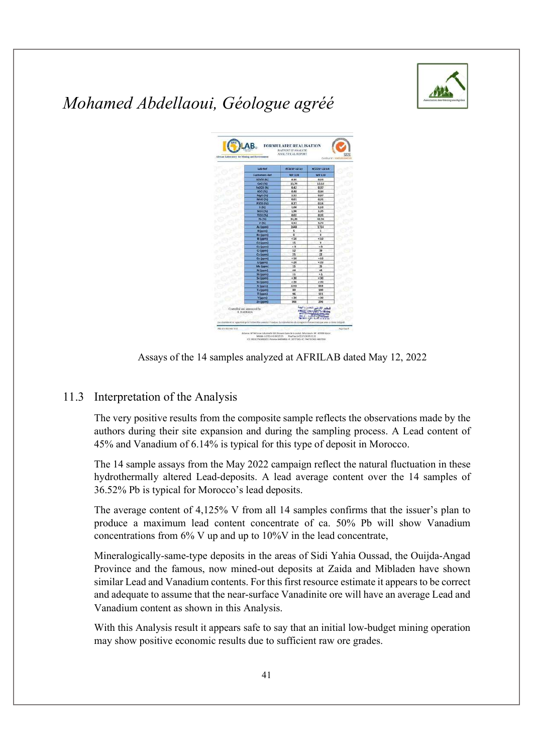



Assays of the 14 samples analyzed at AFRILAB dated May 12, 2022

#### 11.3 Interpretation of the Analysis

The very positive results from the composite sample reflects the observations made by the authors during their site expansion and during the sampling process. A Lead content of 45% and Vanadium of 6.14% is typical for this type of deposit in Morocco.

The 14 sample assays from the May 2022 campaign reflect the natural fluctuation in these hydrothermally altered Lead-deposits. A lead average content over the 14 samples of 36.52% Pb is typical for Morocco's lead deposits.

The average content of 4,125% V from all 14 samples confirms that the issuer's plan to produce a maximum lead content concentrate of ca. 50% Pb will show Vanadium concentrations from 6% V up and up to 10%V in the lead concentrate,

Mineralogically-same-type deposits in the areas of Sidi Yahia Oussad, the Ouijda-Angad Province and the famous, now mined-out deposits at Zaida and Mibladen have shown similar Lead and Vanadium contents. For this first resource estimate it appears to be correct and adequate to assume that the near-surface Vanadinite ore will have an average Lead and Vanadium content as shown in this Analysis.

With this Analysis result it appears safe to say that an initial low-budget mining operation may show positive economic results due to sufficient raw ore grades.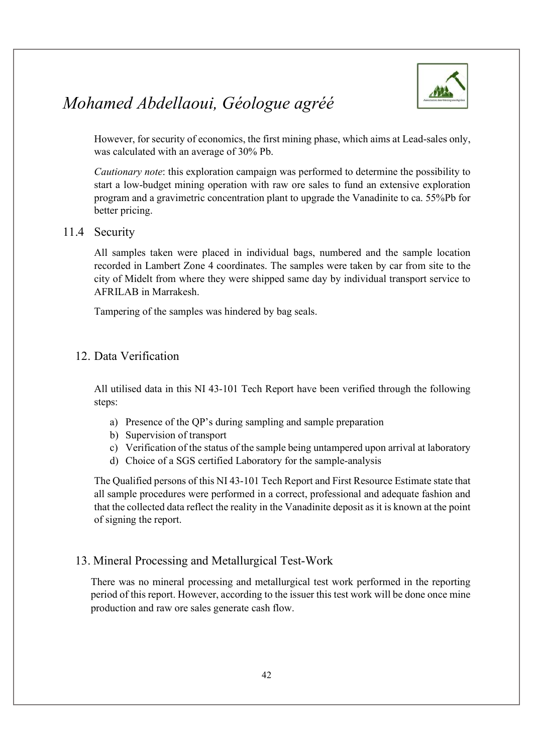

However, for security of economics, the first mining phase, which aims at Lead-sales only, was calculated with an average of 30% Pb.

Cautionary note: this exploration campaign was performed to determine the possibility to start a low-budget mining operation with raw ore sales to fund an extensive exploration program and a gravimetric concentration plant to upgrade the Vanadinite to ca. 55%Pb for better pricing.

#### 11.4 Security

All samples taken were placed in individual bags, numbered and the sample location recorded in Lambert Zone 4 coordinates. The samples were taken by car from site to the city of Midelt from where they were shipped same day by individual transport service to AFRILAB in Marrakesh.

Tampering of the samples was hindered by bag seals.

#### 12. Data Verification

All utilised data in this NI 43-101 Tech Report have been verified through the following steps:

- a) Presence of the QP's during sampling and sample preparation
- b) Supervision of transport
- c) Verification of the status of the sample being untampered upon arrival at laboratory
- d) Choice of a SGS certified Laboratory for the sample-analysis

The Qualified persons of this NI 43-101 Tech Report and First Resource Estimate state that all sample procedures were performed in a correct, professional and adequate fashion and that the collected data reflect the reality in the Vanadinite deposit as it is known at the point of signing the report.

#### 13. Mineral Processing and Metallurgical Test-Work

There was no mineral processing and metallurgical test work performed in the reporting period of this report. However, according to the issuer this test work will be done once mine production and raw ore sales generate cash flow.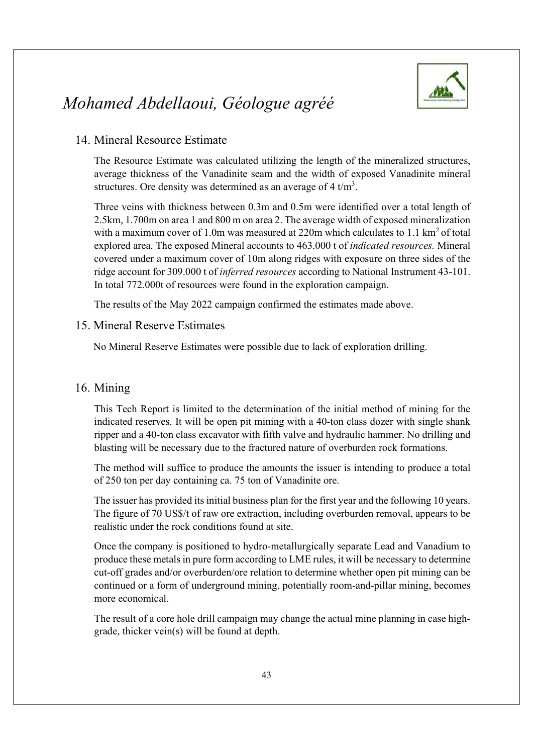

#### 14. Mineral Resource Estimate

The Resource Estimate was calculated utilizing the length of the mineralized structures, average thickness of the Vanadinite seam and the width of exposed Vanadinite mineral structures. Ore density was determined as an average of  $4 \text{ t/m}^3$ .

. Three veins with thickness between 0.3m and 0.5m were identified over a total length of 2.5km, 1.700m on area 1 and 800 m on area 2. The average width of exposed mineralization with a maximum cover of 1.0m was measured at 220m which calculates to 1.1  $\text{km}^2$  of total explored area. The exposed Mineral accounts to 463.000 t of indicated resources. Mineral covered under a maximum cover of 10m along ridges with exposure on three sides of the ridge account for 309.000 t of inferred resources according to National Instrument 43-101. In total 772.000t of resources were found in the exploration campaign.

The results of the May 2022 campaign confirmed the estimates made above.

#### 15. Mineral Reserve Estimates

No Mineral Reserve Estimates were possible due to lack of exploration drilling.

#### 16. Mining

This Tech Report is limited to the determination of the initial method of mining for the indicated reserves. It will be open pit mining with a 40-ton class dozer with single shank ripper and a 40-ton class excavator with fifth valve and hydraulic hammer. No drilling and blasting will be necessary due to the fractured nature of overburden rock formations.

The method will suffice to produce the amounts the issuer is intending to produce a total of 250 ton per day containing ca. 75 ton of Vanadinite ore.

The issuer has provided its initial business plan for the first year and the following 10 years. The figure of 70 US\$/t of raw ore extraction, including overburden removal, appears to be realistic under the rock conditions found at site.

Once the company is positioned to hydro-metallurgically separate Lead and Vanadium to produce these metals in pure form according to LME rules, it will be necessary to determine cut-off grades and/or overburden/ore relation to determine whether open pit mining can be continued or a form of underground mining, potentially room-and-pillar mining, becomes more economical.

The result of a core hole drill campaign may change the actual mine planning in case highgrade, thicker vein(s) will be found at depth.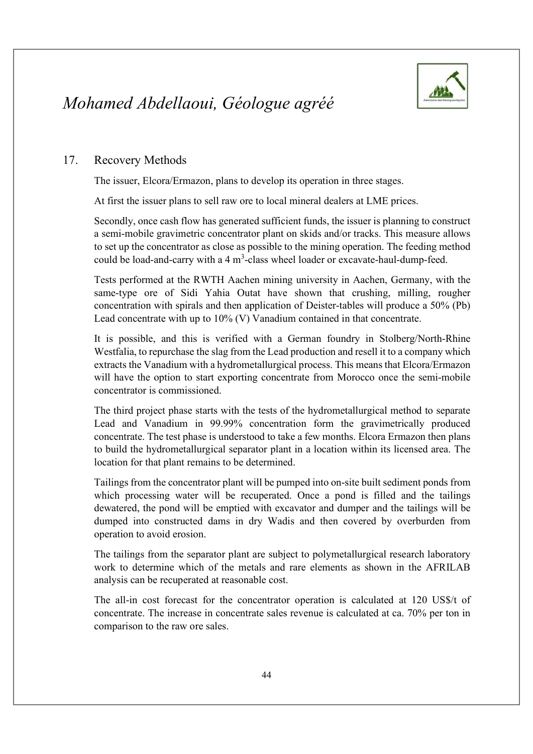

#### 17. Recovery Methods

The issuer, Elcora/Ermazon, plans to develop its operation in three stages.

At first the issuer plans to sell raw ore to local mineral dealers at LME prices.

Secondly, once cash flow has generated sufficient funds, the issuer is planning to construct a semi-mobile gravimetric concentrator plant on skids and/or tracks. This measure allows to set up the concentrator as close as possible to the mining operation. The feeding method could be load-and-carry with a  $4 \text{ m}^3$ -class wheel loader or excavate-haul-dump-feed.

Tests performed at the RWTH Aachen mining university in Aachen, Germany, with the same-type ore of Sidi Yahia Outat have shown that crushing, milling, rougher concentration with spirals and then application of Deister-tables will produce a 50% (Pb) Lead concentrate with up to 10% (V) Vanadium contained in that concentrate.

It is possible, and this is verified with a German foundry in Stolberg/North-Rhine Westfalia, to repurchase the slag from the Lead production and resell it to a company which extracts the Vanadium with a hydrometallurgical process. This means that Elcora/Ermazon will have the option to start exporting concentrate from Morocco once the semi-mobile concentrator is commissioned.

The third project phase starts with the tests of the hydrometallurgical method to separate Lead and Vanadium in 99.99% concentration form the gravimetrically produced concentrate. The test phase is understood to take a few months. Elcora Ermazon then plans to build the hydrometallurgical separator plant in a location within its licensed area. The location for that plant remains to be determined.

Tailings from the concentrator plant will be pumped into on-site built sediment ponds from which processing water will be recuperated. Once a pond is filled and the tailings dewatered, the pond will be emptied with excavator and dumper and the tailings will be dumped into constructed dams in dry Wadis and then covered by overburden from operation to avoid erosion.

The tailings from the separator plant are subject to polymetallurgical research laboratory work to determine which of the metals and rare elements as shown in the AFRILAB analysis can be recuperated at reasonable cost.

The all-in cost forecast for the concentrator operation is calculated at 120 US\$/t of concentrate. The increase in concentrate sales revenue is calculated at ca. 70% per ton in comparison to the raw ore sales.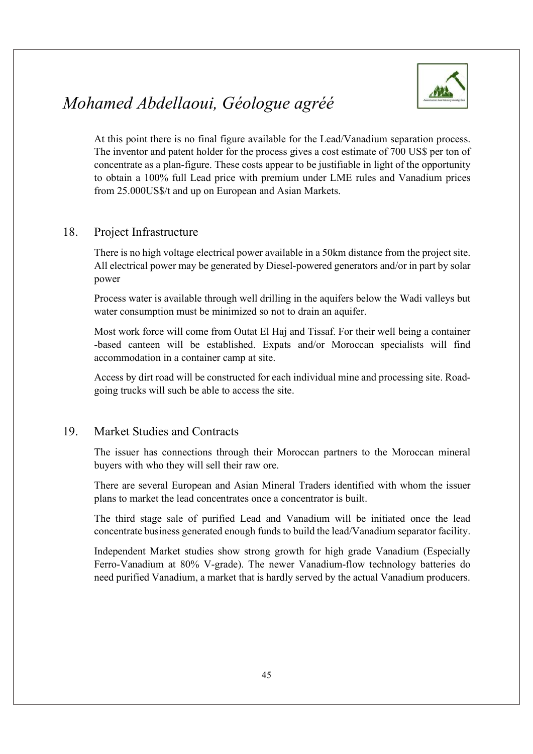

At this point there is no final figure available for the Lead/Vanadium separation process. The inventor and patent holder for the process gives a cost estimate of 700 US\$ per ton of concentrate as a plan-figure. These costs appear to be justifiable in light of the opportunity to obtain a 100% full Lead price with premium under LME rules and Vanadium prices from 25.000US\$/t and up on European and Asian Markets.

#### 18. Project Infrastructure

There is no high voltage electrical power available in a 50km distance from the project site. All electrical power may be generated by Diesel-powered generators and/or in part by solar power

Process water is available through well drilling in the aquifers below the Wadi valleys but water consumption must be minimized so not to drain an aquifer.

Most work force will come from Outat El Haj and Tissaf. For their well being a container -based canteen will be established. Expats and/or Moroccan specialists will find accommodation in a container camp at site.

Access by dirt road will be constructed for each individual mine and processing site. Roadgoing trucks will such be able to access the site.

#### 19. Market Studies and Contracts

The issuer has connections through their Moroccan partners to the Moroccan mineral buyers with who they will sell their raw ore.

There are several European and Asian Mineral Traders identified with whom the issuer plans to market the lead concentrates once a concentrator is built.

The third stage sale of purified Lead and Vanadium will be initiated once the lead concentrate business generated enough funds to build the lead/Vanadium separator facility.

Independent Market studies show strong growth for high grade Vanadium (Especially Ferro-Vanadium at 80% V-grade). The newer Vanadium-flow technology batteries do need purified Vanadium, a market that is hardly served by the actual Vanadium producers.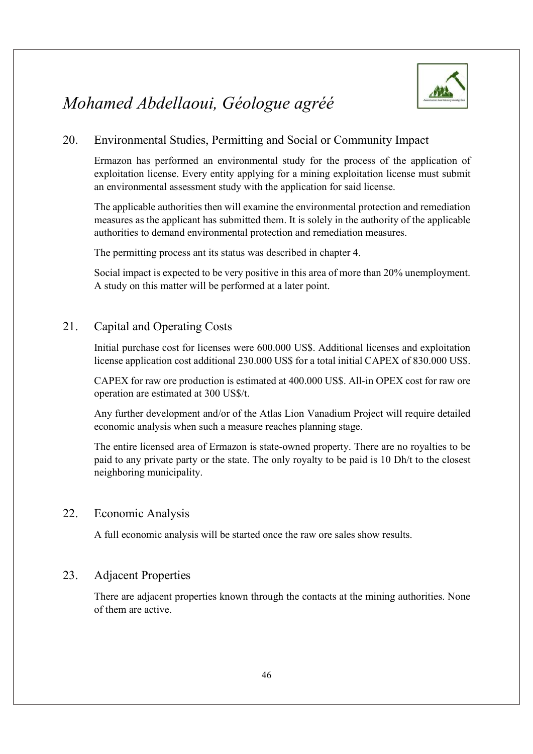

#### 20. Environmental Studies, Permitting and Social or Community Impact

Ermazon has performed an environmental study for the process of the application of exploitation license. Every entity applying for a mining exploitation license must submit an environmental assessment study with the application for said license.

The applicable authorities then will examine the environmental protection and remediation measures as the applicant has submitted them. It is solely in the authority of the applicable authorities to demand environmental protection and remediation measures.

The permitting process ant its status was described in chapter 4.

Social impact is expected to be very positive in this area of more than 20% unemployment. A study on this matter will be performed at a later point.

#### 21. Capital and Operating Costs

Initial purchase cost for licenses were 600.000 US\$. Additional licenses and exploitation license application cost additional 230.000 US\$ for a total initial CAPEX of 830.000 US\$.

CAPEX for raw ore production is estimated at 400.000 US\$. All-in OPEX cost for raw ore operation are estimated at 300 US\$/t.

Any further development and/or of the Atlas Lion Vanadium Project will require detailed economic analysis when such a measure reaches planning stage.

The entire licensed area of Ermazon is state-owned property. There are no royalties to be paid to any private party or the state. The only royalty to be paid is 10 Dh/t to the closest neighboring municipality.

#### 22. Economic Analysis

A full economic analysis will be started once the raw ore sales show results.

#### 23. Adjacent Properties

There are adjacent properties known through the contacts at the mining authorities. None of them are active.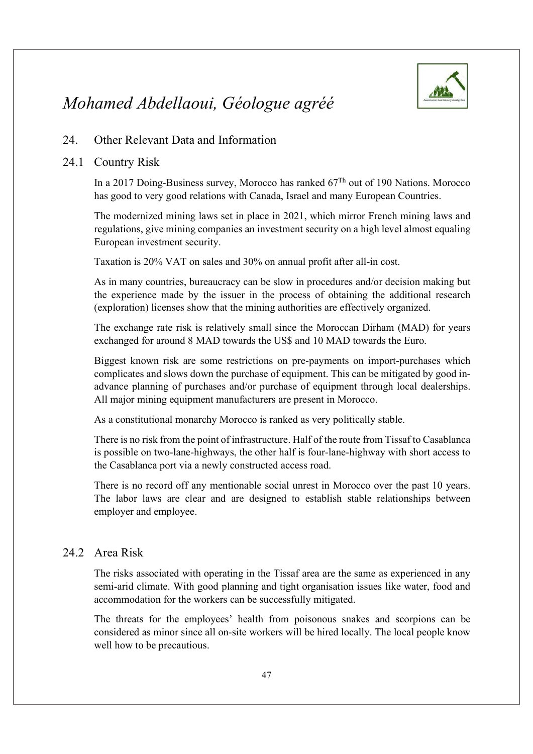

#### 24. Other Relevant Data and Information

#### 24.1 Country Risk

In a 2017 Doing-Business survey, Morocco has ranked 67Th out of 190 Nations. Morocco has good to very good relations with Canada, Israel and many European Countries.

The modernized mining laws set in place in 2021, which mirror French mining laws and regulations, give mining companies an investment security on a high level almost equaling European investment security.

Taxation is 20% VAT on sales and 30% on annual profit after all-in cost.

As in many countries, bureaucracy can be slow in procedures and/or decision making but the experience made by the issuer in the process of obtaining the additional research (exploration) licenses show that the mining authorities are effectively organized.

The exchange rate risk is relatively small since the Moroccan Dirham (MAD) for years exchanged for around 8 MAD towards the US\$ and 10 MAD towards the Euro.

Biggest known risk are some restrictions on pre-payments on import-purchases which complicates and slows down the purchase of equipment. This can be mitigated by good inadvance planning of purchases and/or purchase of equipment through local dealerships. All major mining equipment manufacturers are present in Morocco.

As a constitutional monarchy Morocco is ranked as very politically stable.

There is no risk from the point of infrastructure. Half of the route from Tissaf to Casablanca is possible on two-lane-highways, the other half is four-lane-highway with short access to the Casablanca port via a newly constructed access road.

There is no record off any mentionable social unrest in Morocco over the past 10 years. The labor laws are clear and are designed to establish stable relationships between employer and employee.

#### 24.2 Area Risk

The risks associated with operating in the Tissaf area are the same as experienced in any semi-arid climate. With good planning and tight organisation issues like water, food and accommodation for the workers can be successfully mitigated.

The threats for the employees' health from poisonous snakes and scorpions can be considered as minor since all on-site workers will be hired locally. The local people know well how to be precautious.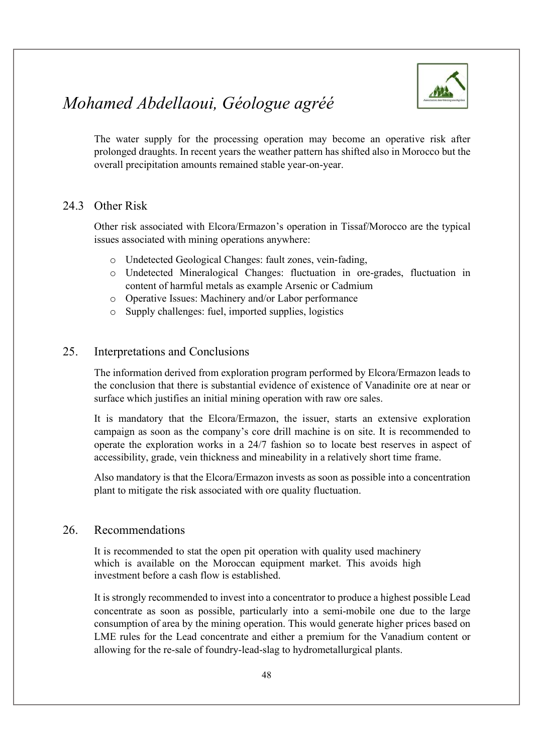

The water supply for the processing operation may become an operative risk after prolonged draughts. In recent years the weather pattern has shifted also in Morocco but the overall precipitation amounts remained stable year-on-year.

#### 24.3 Other Risk

Other risk associated with Elcora/Ermazon's operation in Tissaf/Morocco are the typical issues associated with mining operations anywhere:

- o Undetected Geological Changes: fault zones, vein-fading,
- o Undetected Mineralogical Changes: fluctuation in ore-grades, fluctuation in content of harmful metals as example Arsenic or Cadmium
- o Operative Issues: Machinery and/or Labor performance
- o Supply challenges: fuel, imported supplies, logistics

#### 25. Interpretations and Conclusions

The information derived from exploration program performed by Elcora/Ermazon leads to the conclusion that there is substantial evidence of existence of Vanadinite ore at near or surface which justifies an initial mining operation with raw ore sales.

It is mandatory that the Elcora/Ermazon, the issuer, starts an extensive exploration campaign as soon as the company's core drill machine is on site. It is recommended to operate the exploration works in a 24/7 fashion so to locate best reserves in aspect of accessibility, grade, vein thickness and mineability in a relatively short time frame.

Also mandatory is that the Elcora/Ermazon invests as soon as possible into a concentration plant to mitigate the risk associated with ore quality fluctuation.

#### 26. Recommendations

It is recommended to stat the open pit operation with quality used machinery which is available on the Moroccan equipment market. This avoids high investment before a cash flow is established.

It is strongly recommended to invest into a concentrator to produce a highest possible Lead concentrate as soon as possible, particularly into a semi-mobile one due to the large consumption of area by the mining operation. This would generate higher prices based on LME rules for the Lead concentrate and either a premium for the Vanadium content or allowing for the re-sale of foundry-lead-slag to hydrometallurgical plants.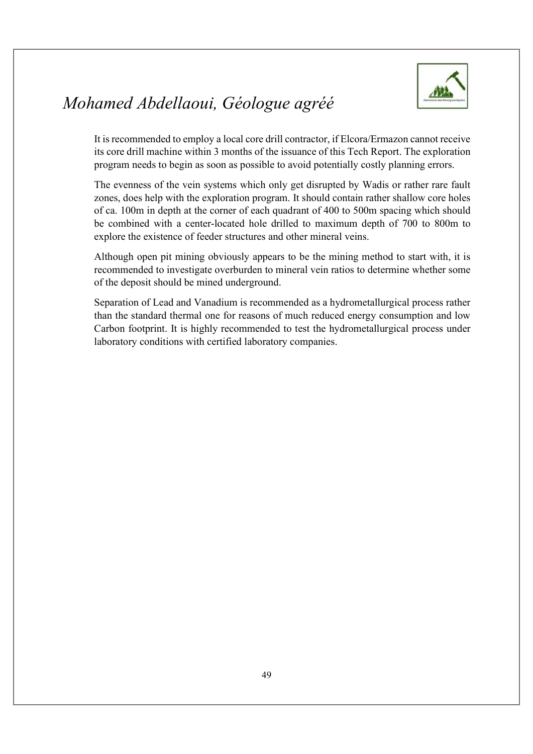

It is recommended to employ a local core drill contractor, if Elcora/Ermazon cannot receive its core drill machine within 3 months of the issuance of this Tech Report. The exploration program needs to begin as soon as possible to avoid potentially costly planning errors.

The evenness of the vein systems which only get disrupted by Wadis or rather rare fault zones, does help with the exploration program. It should contain rather shallow core holes of ca. 100m in depth at the corner of each quadrant of 400 to 500m spacing which should be combined with a center-located hole drilled to maximum depth of 700 to 800m to explore the existence of feeder structures and other mineral veins.

Although open pit mining obviously appears to be the mining method to start with, it is recommended to investigate overburden to mineral vein ratios to determine whether some of the deposit should be mined underground.

Separation of Lead and Vanadium is recommended as a hydrometallurgical process rather than the standard thermal one for reasons of much reduced energy consumption and low Carbon footprint. It is highly recommended to test the hydrometallurgical process under laboratory conditions with certified laboratory companies.